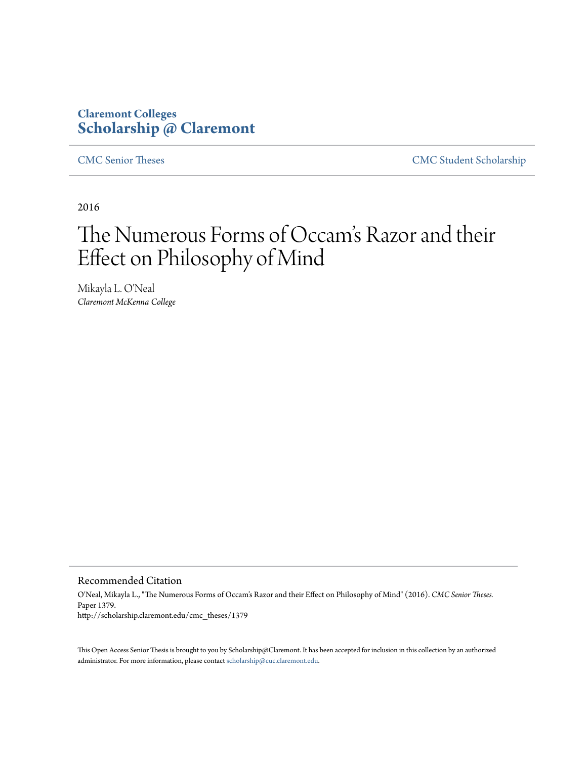## **Claremont Colleges [Scholarship @ Claremont](http://scholarship.claremont.edu)**

[CMC Senior Theses](http://scholarship.claremont.edu/cmc_theses) [CMC Student Scholarship](http://scholarship.claremont.edu/cmc_student)

2016

# The Numerous Forms of Occam 's Razor and their Effect on Philosophy of Mind

Mikayla L. O'Neal *Claremont McKenna College*

Recommended Citation

O'Neal, Mikayla L., "The Numerous Forms of Occam's Razor and their Effect on Philosophy of Mind" (2016). *CMC Senior Theses.* Paper 1379. http://scholarship.claremont.edu/cmc\_theses/1379

This Open Access Senior Thesis is brought to you by Scholarship@Claremont. It has been accepted for inclusion in this collection by an authorized administrator. For more information, please contact [scholarship@cuc.claremont.edu.](mailto:scholarship@cuc.claremont.edu)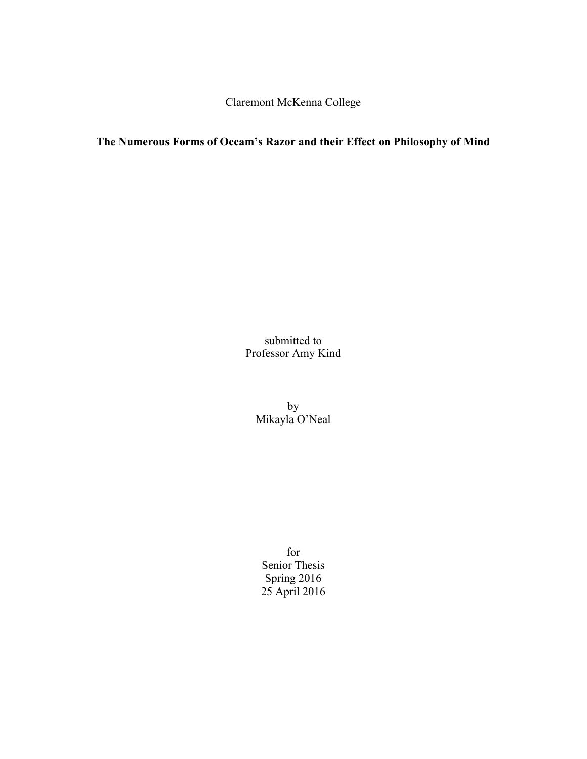Claremont McKenna College

## **The Numerous Forms of Occam's Razor and their Effect on Philosophy of Mind**

submitted to Professor Amy Kind

> by Mikayla O'Neal

for Senior Thesis Spring 2016 25 April 2016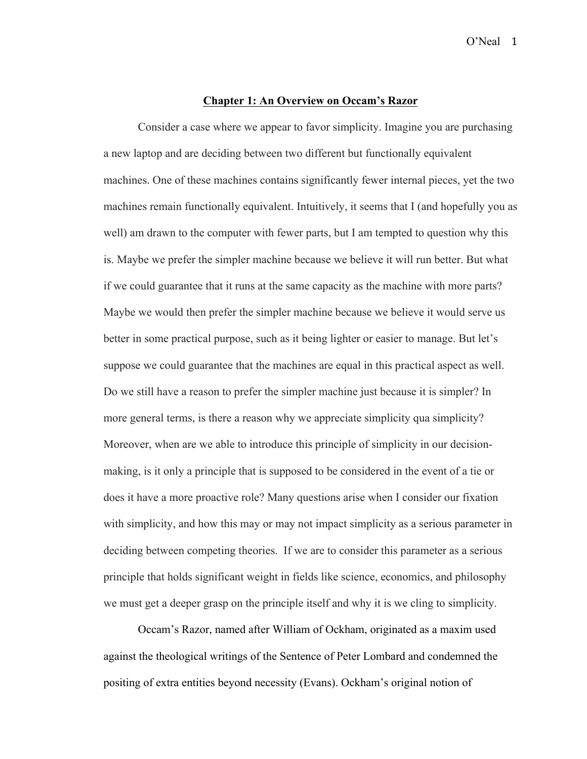#### **Chapter 1: An Overview on Occam's Razor**

Consider a case where we appear to favor simplicity. Imagine you are purchasing a new laptop and are deciding between two different but functionally equivalent machines. One of these machines contains significantly fewer internal pieces, yet the two machines remain functionally equivalent. Intuitively, it seems that I (and hopefully you as well) am drawn to the computer with fewer parts, but I am tempted to question why this is. Maybe we prefer the simpler machine because we believe it will run better. But what if we could guarantee that it runs at the same capacity as the machine with more parts? Maybe we would then prefer the simpler machine because we believe it would serve us better in some practical purpose, such as it being lighter or easier to manage. But let's suppose we could guarantee that the machines are equal in this practical aspect as well. Do we still have a reason to prefer the simpler machine just because it is simpler? In more general terms, is there a reason why we appreciate simplicity qua simplicity? Moreover, when are we able to introduce this principle of simplicity in our decisionmaking, is it only a principle that is supposed to be considered in the event of a tie or does it have a more proactive role? Many questions arise when I consider our fixation with simplicity, and how this may or may not impact simplicity as a serious parameter in deciding between competing theories. If we are to consider this parameter as a serious principle that holds significant weight in fields like science, economics, and philosophy we must get a deeper grasp on the principle itself and why it is we cling to simplicity.

Occam's Razor, named after William of Ockham, originated as a maxim used against the theological writings of the Sentence of Peter Lombard and condemned the positing of extra entities beyond necessity (Evans). Ockham's original notion of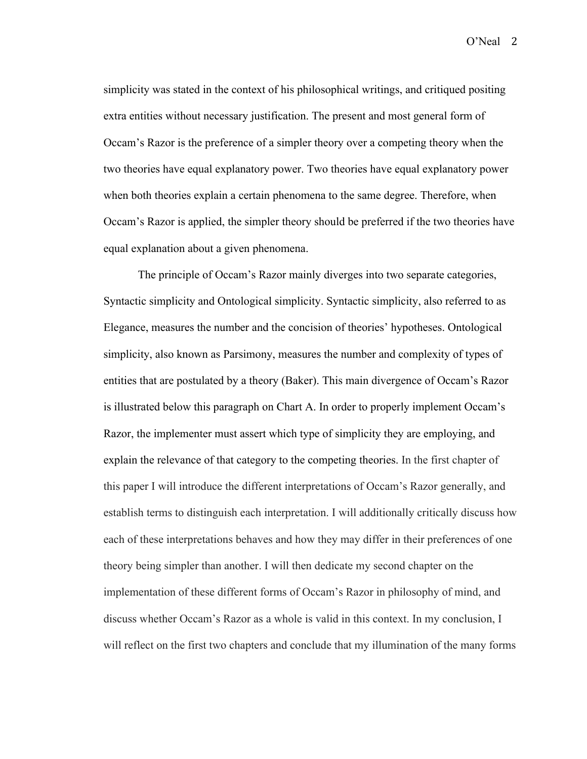simplicity was stated in the context of his philosophical writings, and critiqued positing extra entities without necessary justification. The present and most general form of Occam's Razor is the preference of a simpler theory over a competing theory when the two theories have equal explanatory power. Two theories have equal explanatory power when both theories explain a certain phenomena to the same degree. Therefore, when Occam's Razor is applied, the simpler theory should be preferred if the two theories have equal explanation about a given phenomena.

The principle of Occam's Razor mainly diverges into two separate categories, Syntactic simplicity and Ontological simplicity. Syntactic simplicity, also referred to as Elegance, measures the number and the concision of theories' hypotheses. Ontological simplicity, also known as Parsimony, measures the number and complexity of types of entities that are postulated by a theory (Baker). This main divergence of Occam's Razor is illustrated below this paragraph on Chart A. In order to properly implement Occam's Razor, the implementer must assert which type of simplicity they are employing, and explain the relevance of that category to the competing theories. In the first chapter of this paper I will introduce the different interpretations of Occam's Razor generally, and establish terms to distinguish each interpretation. I will additionally critically discuss how each of these interpretations behaves and how they may differ in their preferences of one theory being simpler than another. I will then dedicate my second chapter on the implementation of these different forms of Occam's Razor in philosophy of mind, and discuss whether Occam's Razor as a whole is valid in this context. In my conclusion, I will reflect on the first two chapters and conclude that my illumination of the many forms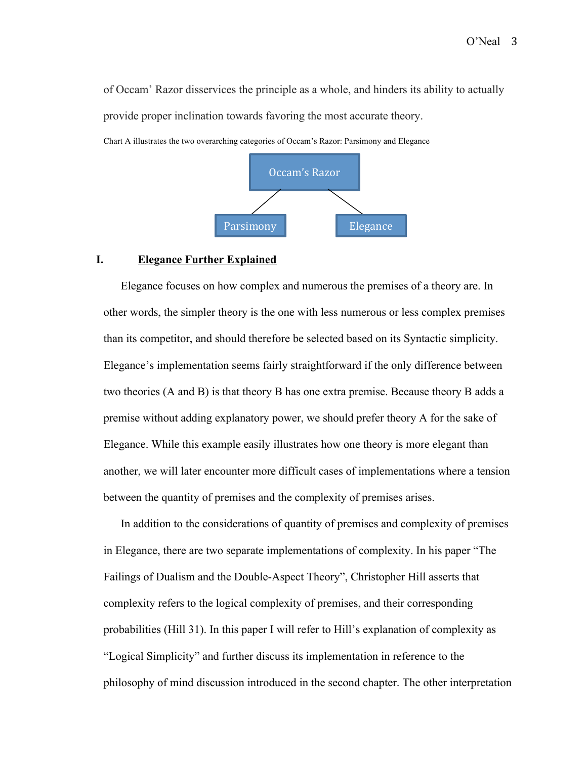of Occam' Razor disservices the principle as a whole, and hinders its ability to actually provide proper inclination towards favoring the most accurate theory.



Chart A illustrates the two overarching categories of Occam's Razor: Parsimony and Elegance

#### **I. Elegance Further Explained**

Elegance focuses on how complex and numerous the premises of a theory are. In other words, the simpler theory is the one with less numerous or less complex premises than its competitor, and should therefore be selected based on its Syntactic simplicity. Elegance's implementation seems fairly straightforward if the only difference between two theories (A and B) is that theory B has one extra premise. Because theory B adds a premise without adding explanatory power, we should prefer theory A for the sake of Elegance. While this example easily illustrates how one theory is more elegant than another, we will later encounter more difficult cases of implementations where a tension between the quantity of premises and the complexity of premises arises.

In addition to the considerations of quantity of premises and complexity of premises in Elegance, there are two separate implementations of complexity. In his paper "The Failings of Dualism and the Double-Aspect Theory", Christopher Hill asserts that complexity refers to the logical complexity of premises, and their corresponding probabilities (Hill 31). In this paper I will refer to Hill's explanation of complexity as "Logical Simplicity" and further discuss its implementation in reference to the philosophy of mind discussion introduced in the second chapter. The other interpretation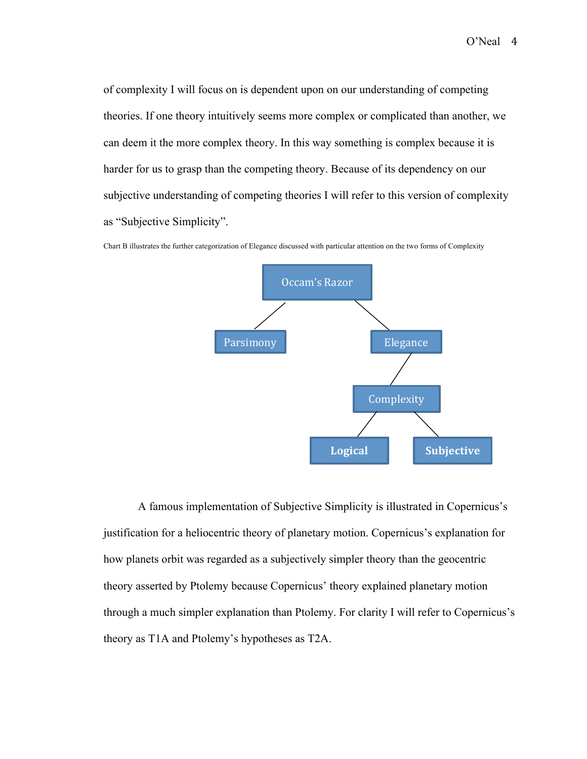of complexity I will focus on is dependent upon on our understanding of competing theories. If one theory intuitively seems more complex or complicated than another, we can deem it the more complex theory. In this way something is complex because it is harder for us to grasp than the competing theory. Because of its dependency on our subjective understanding of competing theories I will refer to this version of complexity as "Subjective Simplicity".

Chart B illustrates the further categorization of Elegance discussed with particular attention on the two forms of Complexity



A famous implementation of Subjective Simplicity is illustrated in Copernicus's justification for a heliocentric theory of planetary motion. Copernicus's explanation for how planets orbit was regarded as a subjectively simpler theory than the geocentric theory asserted by Ptolemy because Copernicus' theory explained planetary motion through a much simpler explanation than Ptolemy. For clarity I will refer to Copernicus's theory as T1A and Ptolemy's hypotheses as T2A.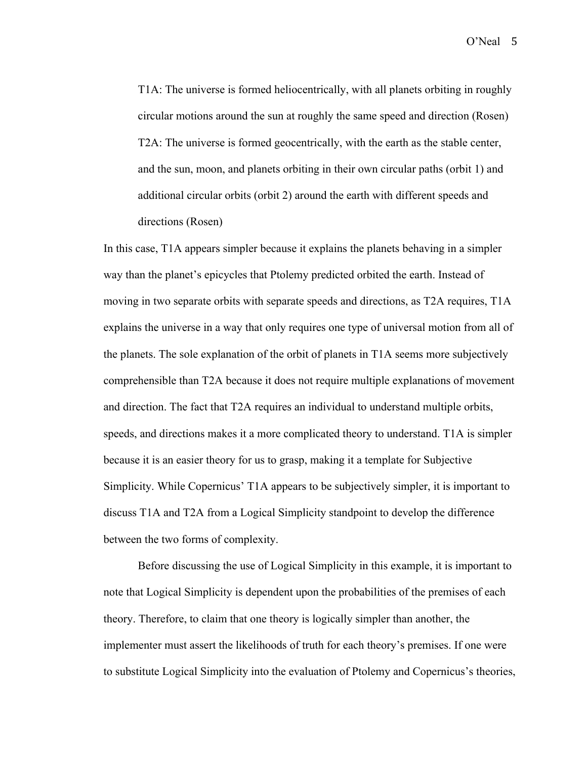T1A: The universe is formed heliocentrically, with all planets orbiting in roughly circular motions around the sun at roughly the same speed and direction (Rosen) T2A: The universe is formed geocentrically, with the earth as the stable center, and the sun, moon, and planets orbiting in their own circular paths (orbit 1) and additional circular orbits (orbit 2) around the earth with different speeds and directions (Rosen)

In this case, T1A appears simpler because it explains the planets behaving in a simpler way than the planet's epicycles that Ptolemy predicted orbited the earth. Instead of moving in two separate orbits with separate speeds and directions, as T2A requires, T1A explains the universe in a way that only requires one type of universal motion from all of the planets. The sole explanation of the orbit of planets in T1A seems more subjectively comprehensible than T2A because it does not require multiple explanations of movement and direction. The fact that T2A requires an individual to understand multiple orbits, speeds, and directions makes it a more complicated theory to understand. T1A is simpler because it is an easier theory for us to grasp, making it a template for Subjective Simplicity. While Copernicus' T1A appears to be subjectively simpler, it is important to discuss T1A and T2A from a Logical Simplicity standpoint to develop the difference between the two forms of complexity.

Before discussing the use of Logical Simplicity in this example, it is important to note that Logical Simplicity is dependent upon the probabilities of the premises of each theory. Therefore, to claim that one theory is logically simpler than another, the implementer must assert the likelihoods of truth for each theory's premises. If one were to substitute Logical Simplicity into the evaluation of Ptolemy and Copernicus's theories,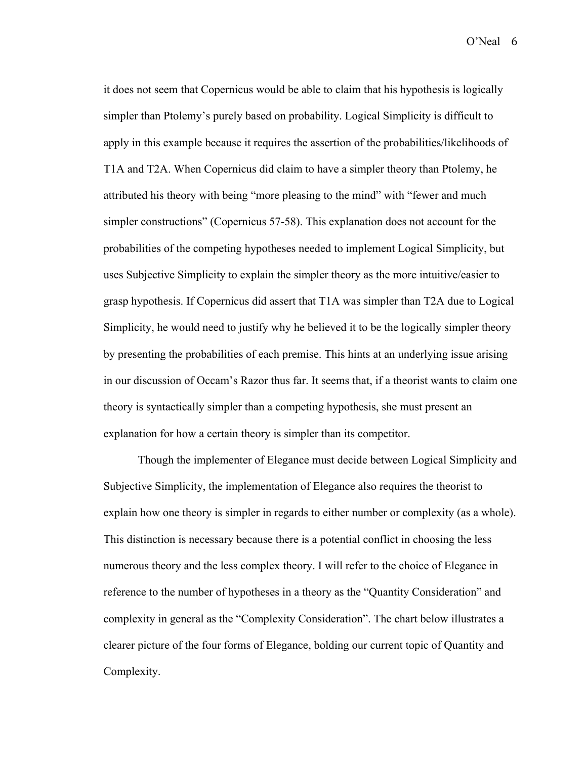it does not seem that Copernicus would be able to claim that his hypothesis is logically simpler than Ptolemy's purely based on probability. Logical Simplicity is difficult to apply in this example because it requires the assertion of the probabilities/likelihoods of T1A and T2A. When Copernicus did claim to have a simpler theory than Ptolemy, he attributed his theory with being "more pleasing to the mind" with "fewer and much simpler constructions" (Copernicus 57-58). This explanation does not account for the probabilities of the competing hypotheses needed to implement Logical Simplicity, but uses Subjective Simplicity to explain the simpler theory as the more intuitive/easier to grasp hypothesis. If Copernicus did assert that T1A was simpler than T2A due to Logical Simplicity, he would need to justify why he believed it to be the logically simpler theory by presenting the probabilities of each premise. This hints at an underlying issue arising in our discussion of Occam's Razor thus far. It seems that, if a theorist wants to claim one theory is syntactically simpler than a competing hypothesis, she must present an explanation for how a certain theory is simpler than its competitor.

Though the implementer of Elegance must decide between Logical Simplicity and Subjective Simplicity, the implementation of Elegance also requires the theorist to explain how one theory is simpler in regards to either number or complexity (as a whole). This distinction is necessary because there is a potential conflict in choosing the less numerous theory and the less complex theory. I will refer to the choice of Elegance in reference to the number of hypotheses in a theory as the "Quantity Consideration" and complexity in general as the "Complexity Consideration". The chart below illustrates a clearer picture of the four forms of Elegance, bolding our current topic of Quantity and Complexity.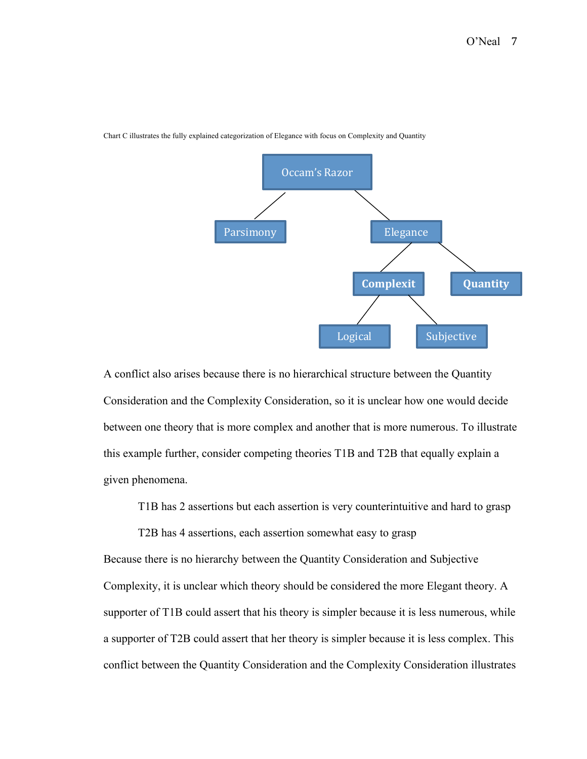

Chart C illustrates the fully explained categorization of Elegance with focus on Complexity and Quantity

A conflict also arises because there is no hierarchical structure between the Quantity Consideration and the Complexity Consideration, so it is unclear how one would decide between one theory that is more complex and another that is more numerous. To illustrate this example further, consider competing theories T1B and T2B that equally explain a given phenomena.

T1B has 2 assertions but each assertion is very counterintuitive and hard to grasp

T2B has 4 assertions, each assertion somewhat easy to grasp

Because there is no hierarchy between the Quantity Consideration and Subjective Complexity, it is unclear which theory should be considered the more Elegant theory. A supporter of T1B could assert that his theory is simpler because it is less numerous, while a supporter of T2B could assert that her theory is simpler because it is less complex. This conflict between the Quantity Consideration and the Complexity Consideration illustrates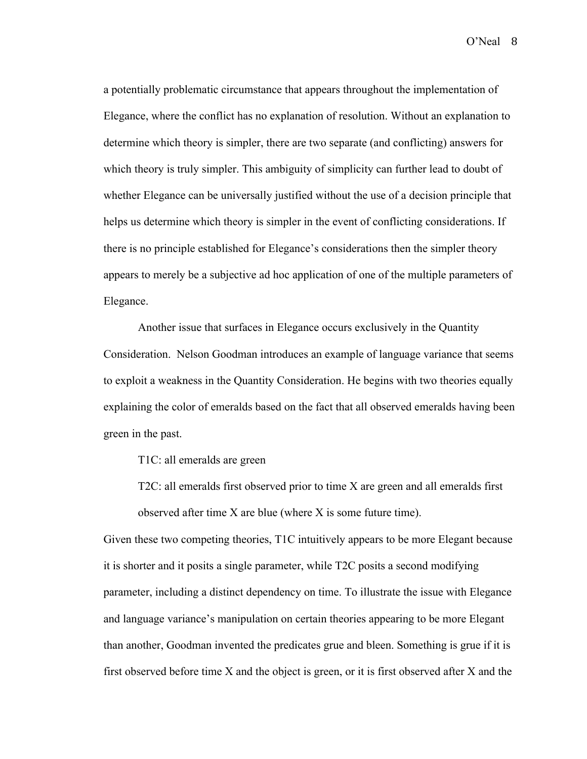a potentially problematic circumstance that appears throughout the implementation of Elegance, where the conflict has no explanation of resolution. Without an explanation to determine which theory is simpler, there are two separate (and conflicting) answers for which theory is truly simpler. This ambiguity of simplicity can further lead to doubt of whether Elegance can be universally justified without the use of a decision principle that helps us determine which theory is simpler in the event of conflicting considerations. If there is no principle established for Elegance's considerations then the simpler theory appears to merely be a subjective ad hoc application of one of the multiple parameters of Elegance.

Another issue that surfaces in Elegance occurs exclusively in the Quantity Consideration. Nelson Goodman introduces an example of language variance that seems to exploit a weakness in the Quantity Consideration. He begins with two theories equally explaining the color of emeralds based on the fact that all observed emeralds having been green in the past.

T1C: all emeralds are green

T2C: all emeralds first observed prior to time X are green and all emeralds first observed after time X are blue (where X is some future time).

Given these two competing theories, T1C intuitively appears to be more Elegant because it is shorter and it posits a single parameter, while T2C posits a second modifying parameter, including a distinct dependency on time. To illustrate the issue with Elegance and language variance's manipulation on certain theories appearing to be more Elegant than another, Goodman invented the predicates grue and bleen. Something is grue if it is first observed before time X and the object is green, or it is first observed after X and the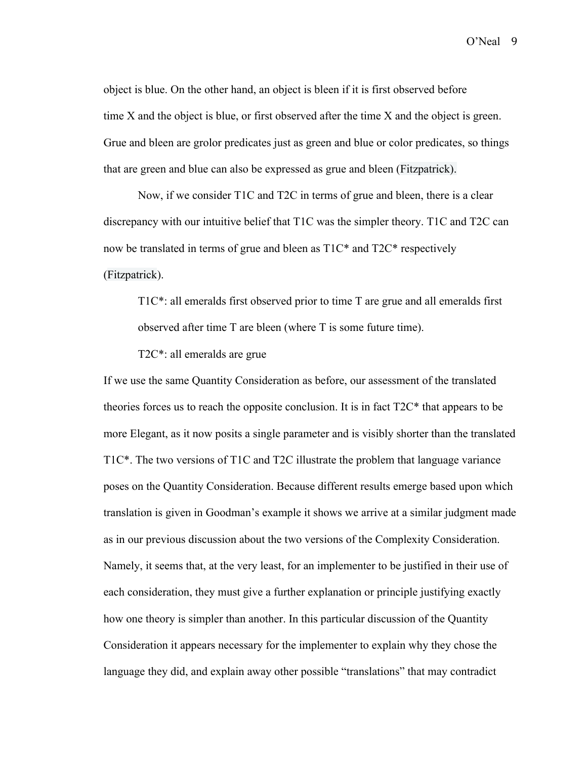object is blue. On the other hand, an object is bleen if it is first observed before time X and the object is blue, or first observed after the time X and the object is green. Grue and bleen are grolor predicates just as green and blue or color predicates, so things that are green and blue can also be expressed as grue and bleen (Fitzpatrick).

Now, if we consider T1C and T2C in terms of grue and bleen, there is a clear discrepancy with our intuitive belief that T1C was the simpler theory. T1C and T2C can now be translated in terms of grue and bleen as T1C\* and T2C\* respectively (Fitzpatrick).

T1C\*: all emeralds first observed prior to time T are grue and all emeralds first observed after time T are bleen (where T is some future time).

T2C\*: all emeralds are grue

If we use the same Quantity Consideration as before, our assessment of the translated theories forces us to reach the opposite conclusion. It is in fact  $T2C^*$  that appears to be more Elegant, as it now posits a single parameter and is visibly shorter than the translated T1C\*. The two versions of T1C and T2C illustrate the problem that language variance poses on the Quantity Consideration. Because different results emerge based upon which translation is given in Goodman's example it shows we arrive at a similar judgment made as in our previous discussion about the two versions of the Complexity Consideration. Namely, it seems that, at the very least, for an implementer to be justified in their use of each consideration, they must give a further explanation or principle justifying exactly how one theory is simpler than another. In this particular discussion of the Quantity Consideration it appears necessary for the implementer to explain why they chose the language they did, and explain away other possible "translations" that may contradict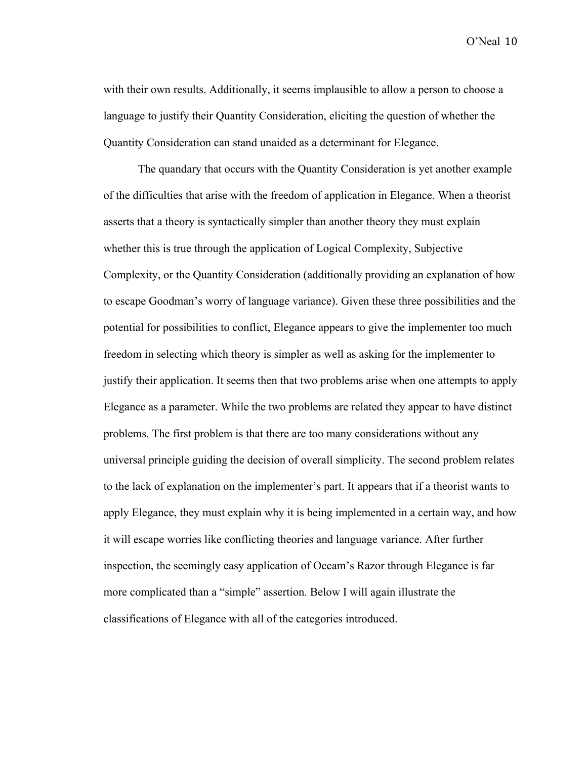with their own results. Additionally, it seems implausible to allow a person to choose a language to justify their Quantity Consideration, eliciting the question of whether the Quantity Consideration can stand unaided as a determinant for Elegance.

The quandary that occurs with the Quantity Consideration is yet another example of the difficulties that arise with the freedom of application in Elegance. When a theorist asserts that a theory is syntactically simpler than another theory they must explain whether this is true through the application of Logical Complexity, Subjective Complexity, or the Quantity Consideration (additionally providing an explanation of how to escape Goodman's worry of language variance). Given these three possibilities and the potential for possibilities to conflict, Elegance appears to give the implementer too much freedom in selecting which theory is simpler as well as asking for the implementer to justify their application. It seems then that two problems arise when one attempts to apply Elegance as a parameter. While the two problems are related they appear to have distinct problems. The first problem is that there are too many considerations without any universal principle guiding the decision of overall simplicity. The second problem relates to the lack of explanation on the implementer's part. It appears that if a theorist wants to apply Elegance, they must explain why it is being implemented in a certain way, and how it will escape worries like conflicting theories and language variance. After further inspection, the seemingly easy application of Occam's Razor through Elegance is far more complicated than a "simple" assertion. Below I will again illustrate the classifications of Elegance with all of the categories introduced.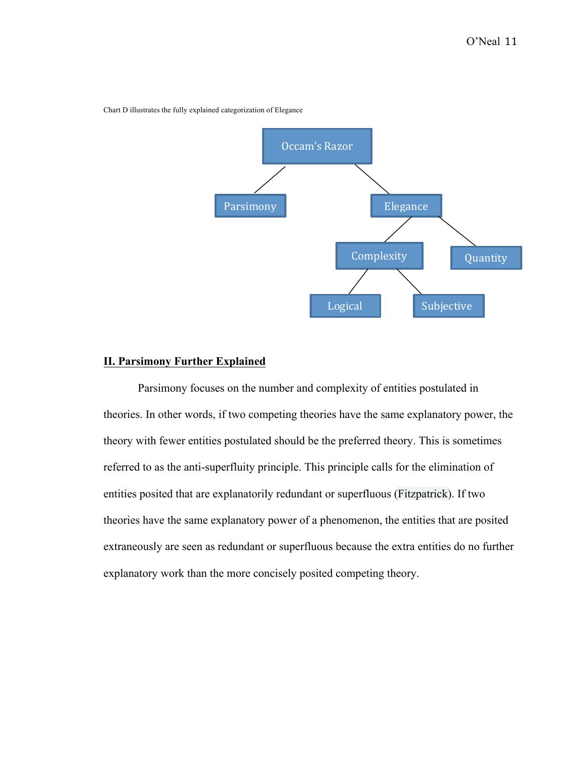

Chart D illustrates the fully explained categorization of Elegance

## **II. Parsimony Further Explained**

Parsimony focuses on the number and complexity of entities postulated in theories. In other words, if two competing theories have the same explanatory power, the theory with fewer entities postulated should be the preferred theory. This is sometimes referred to as the anti-superfluity principle. This principle calls for the elimination of entities posited that are explanatorily redundant or superfluous (Fitzpatrick). If two theories have the same explanatory power of a phenomenon, the entities that are posited extraneously are seen as redundant or superfluous because the extra entities do no further explanatory work than the more concisely posited competing theory.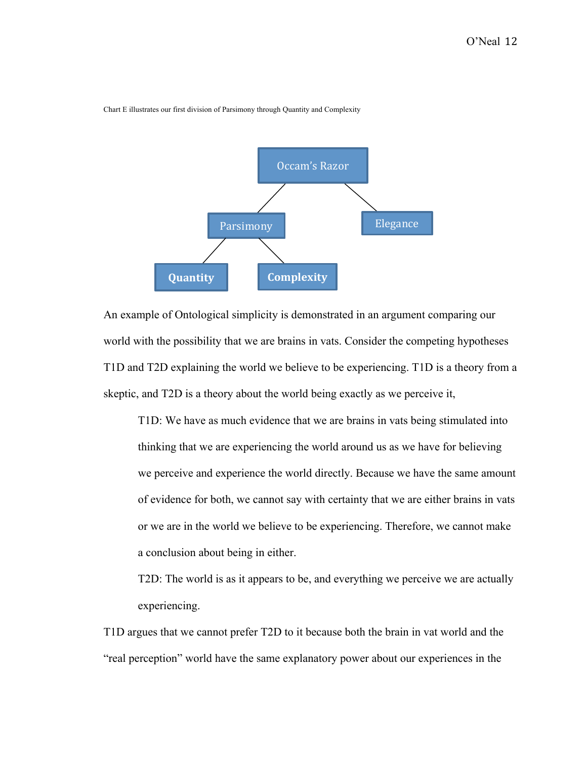

Chart E illustrates our first division of Parsimony through Quantity and Complexity

An example of Ontological simplicity is demonstrated in an argument comparing our world with the possibility that we are brains in vats. Consider the competing hypotheses T1D and T2D explaining the world we believe to be experiencing. T1D is a theory from a skeptic, and T2D is a theory about the world being exactly as we perceive it,

T1D: We have as much evidence that we are brains in vats being stimulated into thinking that we are experiencing the world around us as we have for believing we perceive and experience the world directly. Because we have the same amount of evidence for both, we cannot say with certainty that we are either brains in vats or we are in the world we believe to be experiencing. Therefore, we cannot make a conclusion about being in either.

T2D: The world is as it appears to be, and everything we perceive we are actually experiencing.

T1D argues that we cannot prefer T2D to it because both the brain in vat world and the "real perception" world have the same explanatory power about our experiences in the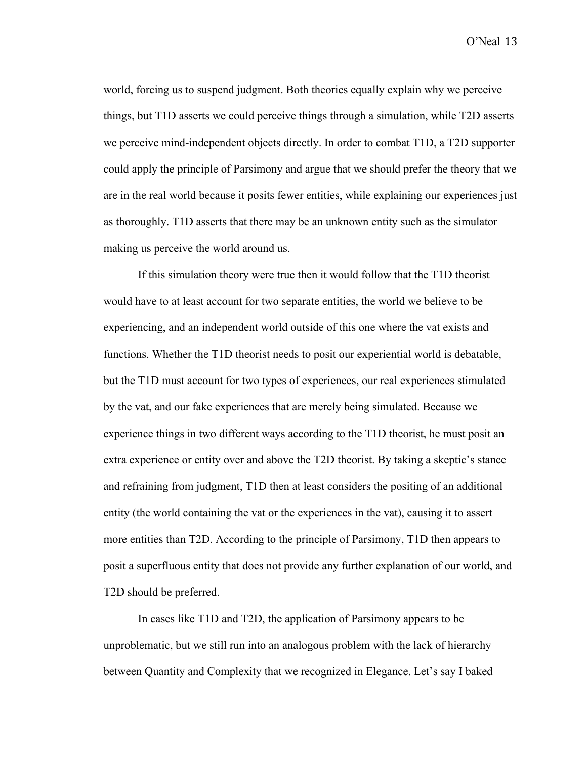world, forcing us to suspend judgment. Both theories equally explain why we perceive things, but T1D asserts we could perceive things through a simulation, while T2D asserts we perceive mind-independent objects directly. In order to combat T1D, a T2D supporter could apply the principle of Parsimony and argue that we should prefer the theory that we are in the real world because it posits fewer entities, while explaining our experiences just as thoroughly. T1D asserts that there may be an unknown entity such as the simulator making us perceive the world around us.

If this simulation theory were true then it would follow that the T1D theorist would have to at least account for two separate entities, the world we believe to be experiencing, and an independent world outside of this one where the vat exists and functions. Whether the T1D theorist needs to posit our experiential world is debatable, but the T1D must account for two types of experiences, our real experiences stimulated by the vat, and our fake experiences that are merely being simulated. Because we experience things in two different ways according to the T1D theorist, he must posit an extra experience or entity over and above the T2D theorist. By taking a skeptic's stance and refraining from judgment, T1D then at least considers the positing of an additional entity (the world containing the vat or the experiences in the vat), causing it to assert more entities than T2D. According to the principle of Parsimony, T1D then appears to posit a superfluous entity that does not provide any further explanation of our world, and T2D should be preferred.

In cases like T1D and T2D, the application of Parsimony appears to be unproblematic, but we still run into an analogous problem with the lack of hierarchy between Quantity and Complexity that we recognized in Elegance. Let's say I baked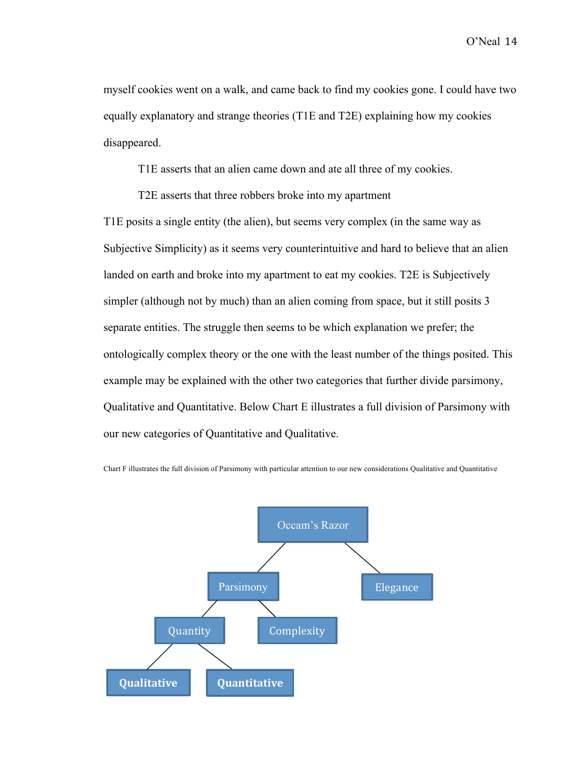myself cookies went on a walk, and came back to find my cookies gone. I could have two equally explanatory and strange theories (T1E and T2E) explaining how my cookies disappeared.

T1E asserts that an alien came down and ate all three of my cookies.

T2E asserts that three robbers broke into my apartment

T1E posits a single entity (the alien), but seems very complex (in the same way as Subjective Simplicity) as it seems very counterintuitive and hard to believe that an alien landed on earth and broke into my apartment to eat my cookies. T2E is Subjectively simpler (although not by much) than an alien coming from space, but it still posits 3 separate entities. The struggle then seems to be which explanation we prefer; the ontologically complex theory or the one with the least number of the things posited. This example may be explained with the other two categories that further divide parsimony, Qualitative and Quantitative. Below Chart E illustrates a full division of Parsimony with our new categories of Quantitative and Qualitative.



Chart F illustrates the full division of Parsimony with particular attention to our new considerations Qualitative and Quantitative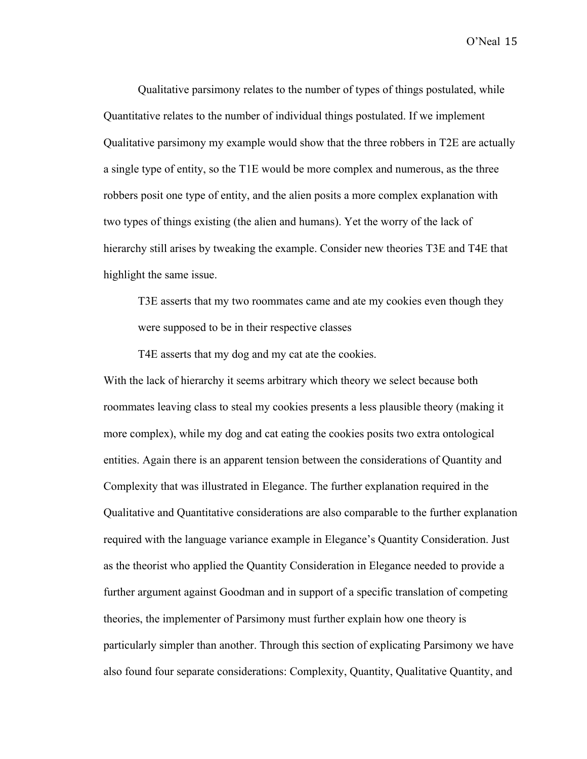Qualitative parsimony relates to the number of types of things postulated, while Quantitative relates to the number of individual things postulated. If we implement Qualitative parsimony my example would show that the three robbers in T2E are actually a single type of entity, so the T1E would be more complex and numerous, as the three robbers posit one type of entity, and the alien posits a more complex explanation with two types of things existing (the alien and humans). Yet the worry of the lack of hierarchy still arises by tweaking the example. Consider new theories T3E and T4E that highlight the same issue.

T3E asserts that my two roommates came and ate my cookies even though they were supposed to be in their respective classes

T4E asserts that my dog and my cat ate the cookies.

With the lack of hierarchy it seems arbitrary which theory we select because both roommates leaving class to steal my cookies presents a less plausible theory (making it more complex), while my dog and cat eating the cookies posits two extra ontological entities. Again there is an apparent tension between the considerations of Quantity and Complexity that was illustrated in Elegance. The further explanation required in the Qualitative and Quantitative considerations are also comparable to the further explanation required with the language variance example in Elegance's Quantity Consideration. Just as the theorist who applied the Quantity Consideration in Elegance needed to provide a further argument against Goodman and in support of a specific translation of competing theories, the implementer of Parsimony must further explain how one theory is particularly simpler than another. Through this section of explicating Parsimony we have also found four separate considerations: Complexity, Quantity, Qualitative Quantity, and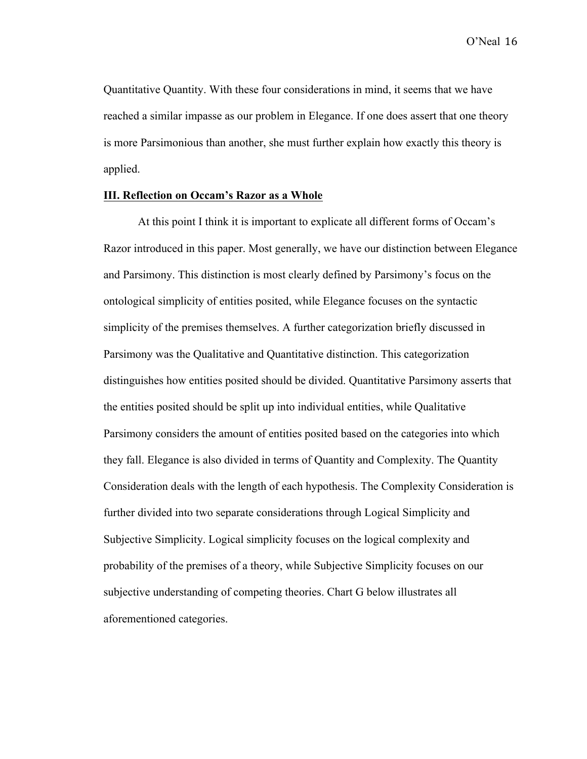Quantitative Quantity. With these four considerations in mind, it seems that we have reached a similar impasse as our problem in Elegance. If one does assert that one theory is more Parsimonious than another, she must further explain how exactly this theory is applied.

#### **III. Reflection on Occam's Razor as a Whole**

At this point I think it is important to explicate all different forms of Occam's Razor introduced in this paper. Most generally, we have our distinction between Elegance and Parsimony. This distinction is most clearly defined by Parsimony's focus on the ontological simplicity of entities posited, while Elegance focuses on the syntactic simplicity of the premises themselves. A further categorization briefly discussed in Parsimony was the Qualitative and Quantitative distinction. This categorization distinguishes how entities posited should be divided. Quantitative Parsimony asserts that the entities posited should be split up into individual entities, while Qualitative Parsimony considers the amount of entities posited based on the categories into which they fall. Elegance is also divided in terms of Quantity and Complexity. The Quantity Consideration deals with the length of each hypothesis. The Complexity Consideration is further divided into two separate considerations through Logical Simplicity and Subjective Simplicity. Logical simplicity focuses on the logical complexity and probability of the premises of a theory, while Subjective Simplicity focuses on our subjective understanding of competing theories. Chart G below illustrates all aforementioned categories.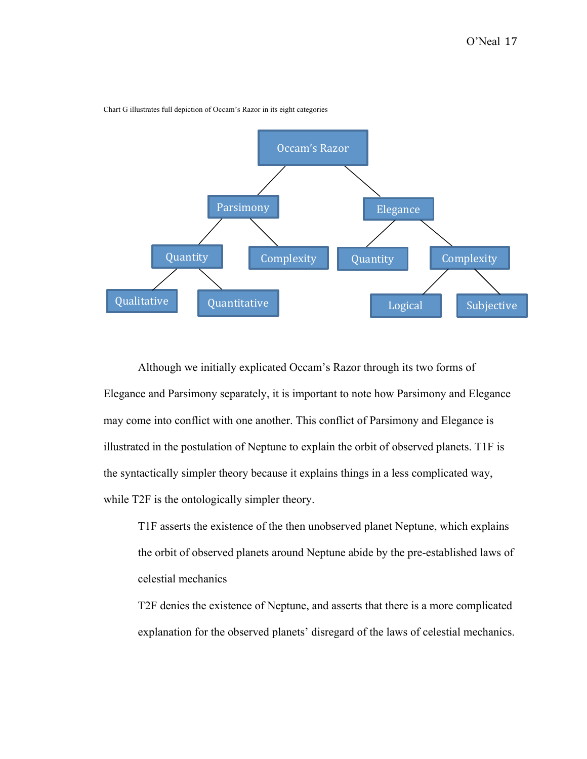

Chart G illustrates full depiction of Occam's Razor in its eight categories

Although we initially explicated Occam's Razor through its two forms of Elegance and Parsimony separately, it is important to note how Parsimony and Elegance may come into conflict with one another. This conflict of Parsimony and Elegance is illustrated in the postulation of Neptune to explain the orbit of observed planets. T1F is the syntactically simpler theory because it explains things in a less complicated way, while T2F is the ontologically simpler theory.

T1F asserts the existence of the then unobserved planet Neptune, which explains the orbit of observed planets around Neptune abide by the pre-established laws of celestial mechanics

T2F denies the existence of Neptune, and asserts that there is a more complicated explanation for the observed planets' disregard of the laws of celestial mechanics.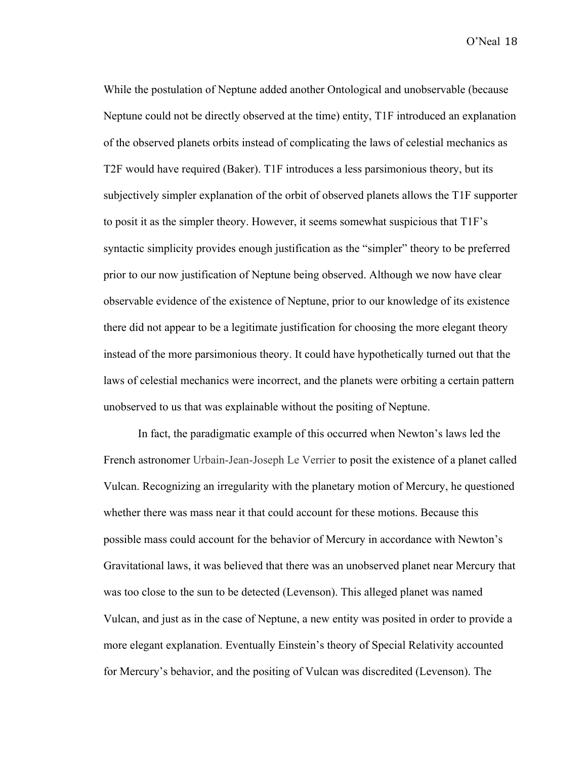While the postulation of Neptune added another Ontological and unobservable (because Neptune could not be directly observed at the time) entity, T1F introduced an explanation of the observed planets orbits instead of complicating the laws of celestial mechanics as T2F would have required (Baker). T1F introduces a less parsimonious theory, but its subjectively simpler explanation of the orbit of observed planets allows the T1F supporter to posit it as the simpler theory. However, it seems somewhat suspicious that T1F's syntactic simplicity provides enough justification as the "simpler" theory to be preferred prior to our now justification of Neptune being observed. Although we now have clear observable evidence of the existence of Neptune, prior to our knowledge of its existence there did not appear to be a legitimate justification for choosing the more elegant theory instead of the more parsimonious theory. It could have hypothetically turned out that the laws of celestial mechanics were incorrect, and the planets were orbiting a certain pattern unobserved to us that was explainable without the positing of Neptune.

In fact, the paradigmatic example of this occurred when Newton's laws led the French astronomer Urbain-Jean-Joseph Le Verrier to posit the existence of a planet called Vulcan. Recognizing an irregularity with the planetary motion of Mercury, he questioned whether there was mass near it that could account for these motions. Because this possible mass could account for the behavior of Mercury in accordance with Newton's Gravitational laws, it was believed that there was an unobserved planet near Mercury that was too close to the sun to be detected (Levenson). This alleged planet was named Vulcan, and just as in the case of Neptune, a new entity was posited in order to provide a more elegant explanation. Eventually Einstein's theory of Special Relativity accounted for Mercury's behavior, and the positing of Vulcan was discredited (Levenson). The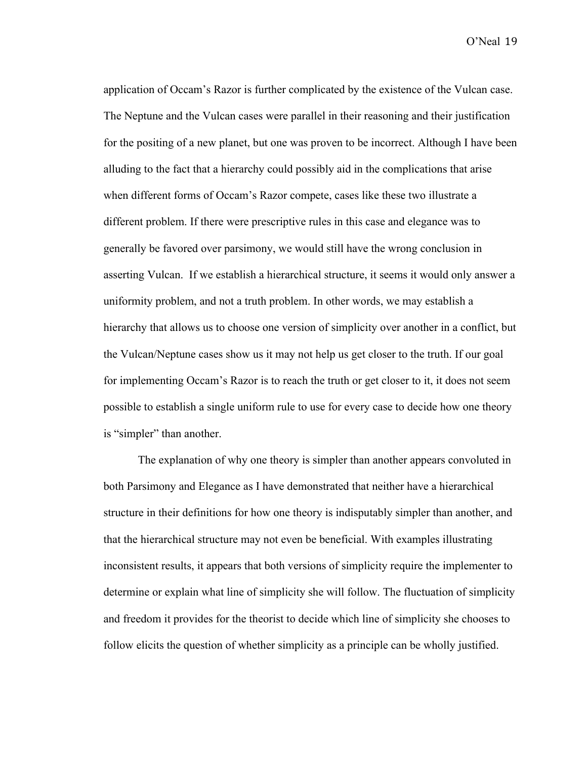application of Occam's Razor is further complicated by the existence of the Vulcan case. The Neptune and the Vulcan cases were parallel in their reasoning and their justification for the positing of a new planet, but one was proven to be incorrect. Although I have been alluding to the fact that a hierarchy could possibly aid in the complications that arise when different forms of Occam's Razor compete, cases like these two illustrate a different problem. If there were prescriptive rules in this case and elegance was to generally be favored over parsimony, we would still have the wrong conclusion in asserting Vulcan. If we establish a hierarchical structure, it seems it would only answer a uniformity problem, and not a truth problem. In other words, we may establish a hierarchy that allows us to choose one version of simplicity over another in a conflict, but the Vulcan/Neptune cases show us it may not help us get closer to the truth. If our goal for implementing Occam's Razor is to reach the truth or get closer to it, it does not seem possible to establish a single uniform rule to use for every case to decide how one theory is "simpler" than another.

The explanation of why one theory is simpler than another appears convoluted in both Parsimony and Elegance as I have demonstrated that neither have a hierarchical structure in their definitions for how one theory is indisputably simpler than another, and that the hierarchical structure may not even be beneficial. With examples illustrating inconsistent results, it appears that both versions of simplicity require the implementer to determine or explain what line of simplicity she will follow. The fluctuation of simplicity and freedom it provides for the theorist to decide which line of simplicity she chooses to follow elicits the question of whether simplicity as a principle can be wholly justified.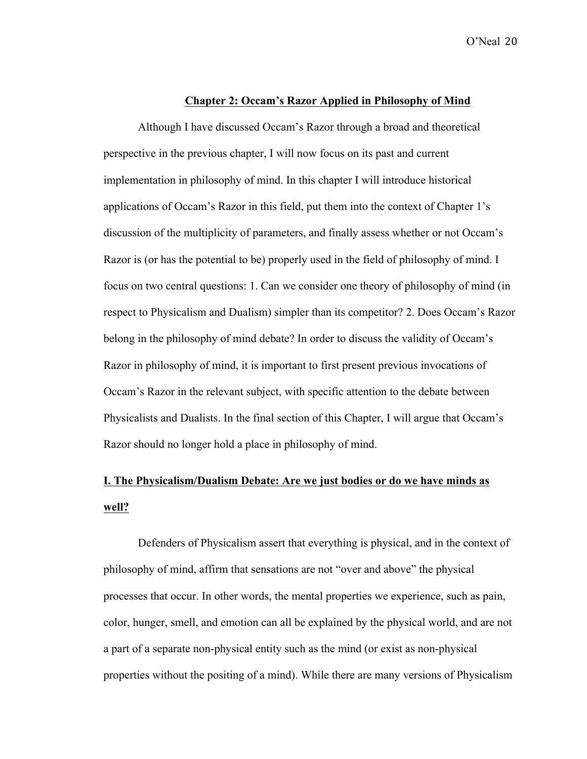#### **Chapter 2: Occam's Razor Applied in Philosophy of Mind**

Although I have discussed Occam's Razor through a broad and theoretical perspective in the previous chapter, I will now focus on its past and current implementation in philosophy of mind. In this chapter I will introduce historical applications of Occam's Razor in this field, put them into the context of Chapter 1's discussion of the multiplicity of parameters, and finally assess whether or not Occam's Razor is (or has the potential to be) properly used in the field of philosophy of mind. I focus on two central questions: 1. Can we consider one theory of philosophy of mind (in respect to Physicalism and Dualism) simpler than its competitor? 2. Does Occam's Razor belong in the philosophy of mind debate? In order to discuss the validity of Occam's Razor in philosophy of mind, it is important to first present previous invocations of Occam's Razor in the relevant subject, with specific attention to the debate between Physicalists and Dualists. In the final section of this Chapter, I will argue that Occam's Razor should no longer hold a place in philosophy of mind.

## **I. The Physicalism/Dualism Debate: Are we just bodies or do we have minds as well?**

Defenders of Physicalism assert that everything is physical, and in the context of philosophy of mind, affirm that sensations are not "over and above" the physical processes that occur. In other words, the mental properties we experience, such as pain, color, hunger, smell, and emotion can all be explained by the physical world, and are not a part of a separate non-physical entity such as the mind (or exist as non-physical properties without the positing of a mind). While there are many versions of Physicalism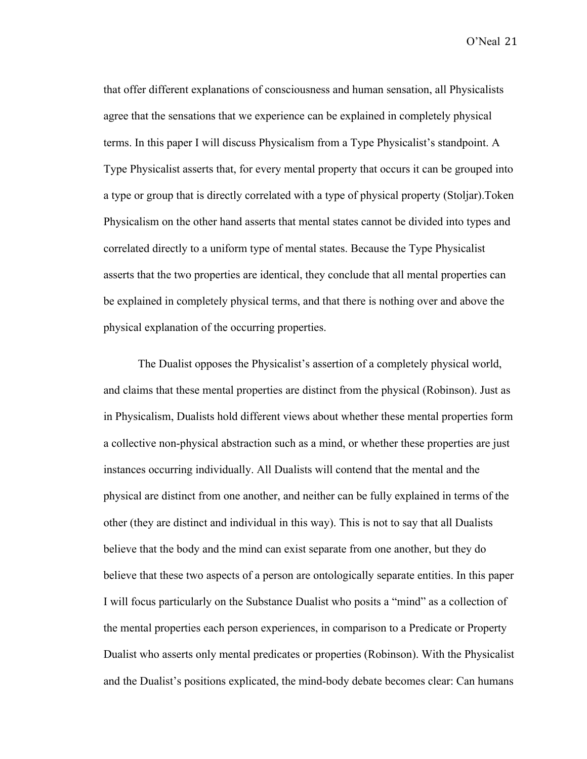that offer different explanations of consciousness and human sensation, all Physicalists agree that the sensations that we experience can be explained in completely physical terms. In this paper I will discuss Physicalism from a Type Physicalist's standpoint. A Type Physicalist asserts that, for every mental property that occurs it can be grouped into a type or group that is directly correlated with a type of physical property (Stoljar).Token Physicalism on the other hand asserts that mental states cannot be divided into types and correlated directly to a uniform type of mental states. Because the Type Physicalist asserts that the two properties are identical, they conclude that all mental properties can be explained in completely physical terms, and that there is nothing over and above the physical explanation of the occurring properties.

The Dualist opposes the Physicalist's assertion of a completely physical world, and claims that these mental properties are distinct from the physical (Robinson). Just as in Physicalism, Dualists hold different views about whether these mental properties form a collective non-physical abstraction such as a mind, or whether these properties are just instances occurring individually. All Dualists will contend that the mental and the physical are distinct from one another, and neither can be fully explained in terms of the other (they are distinct and individual in this way). This is not to say that all Dualists believe that the body and the mind can exist separate from one another, but they do believe that these two aspects of a person are ontologically separate entities. In this paper I will focus particularly on the Substance Dualist who posits a "mind" as a collection of the mental properties each person experiences, in comparison to a Predicate or Property Dualist who asserts only mental predicates or properties (Robinson). With the Physicalist and the Dualist's positions explicated, the mind-body debate becomes clear: Can humans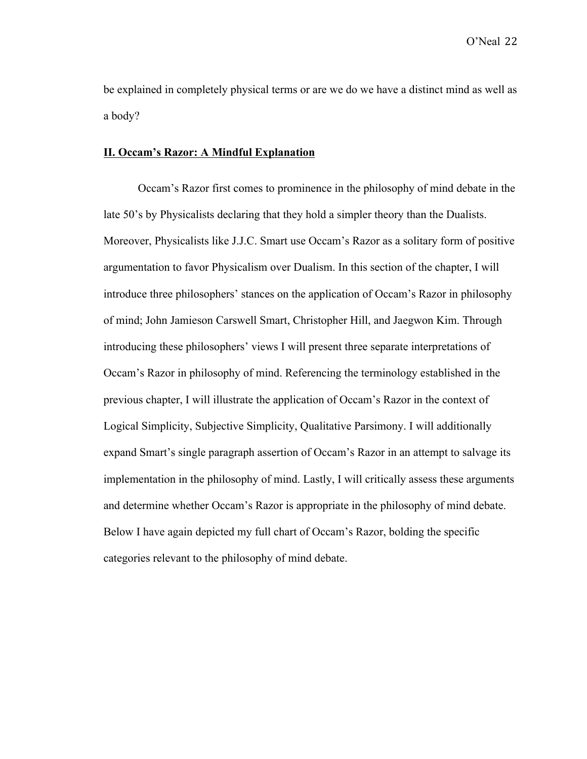be explained in completely physical terms or are we do we have a distinct mind as well as a body?

#### **II. Occam's Razor: A Mindful Explanation**

Occam's Razor first comes to prominence in the philosophy of mind debate in the late 50's by Physicalists declaring that they hold a simpler theory than the Dualists. Moreover, Physicalists like J.J.C. Smart use Occam's Razor as a solitary form of positive argumentation to favor Physicalism over Dualism. In this section of the chapter, I will introduce three philosophers' stances on the application of Occam's Razor in philosophy of mind; John Jamieson Carswell Smart, Christopher Hill, and Jaegwon Kim. Through introducing these philosophers' views I will present three separate interpretations of Occam's Razor in philosophy of mind. Referencing the terminology established in the previous chapter, I will illustrate the application of Occam's Razor in the context of Logical Simplicity, Subjective Simplicity, Qualitative Parsimony. I will additionally expand Smart's single paragraph assertion of Occam's Razor in an attempt to salvage its implementation in the philosophy of mind. Lastly, I will critically assess these arguments and determine whether Occam's Razor is appropriate in the philosophy of mind debate. Below I have again depicted my full chart of Occam's Razor, bolding the specific categories relevant to the philosophy of mind debate.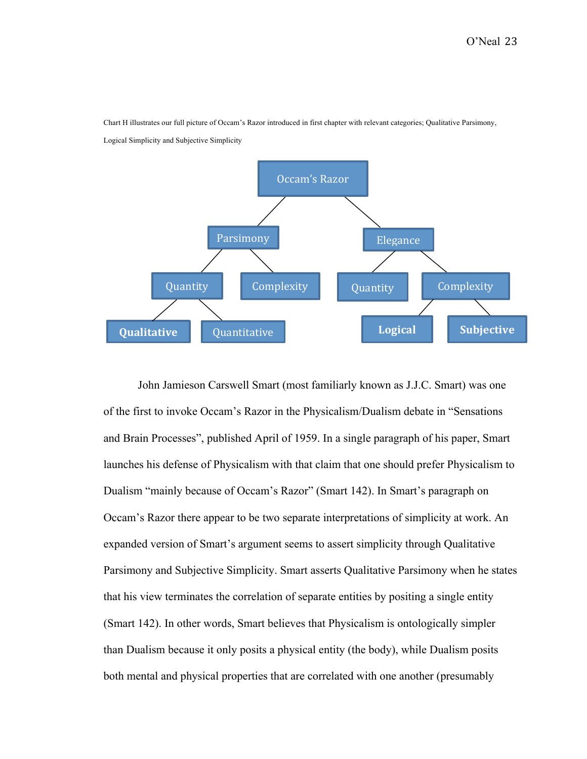

Chart H illustrates our full picture of Occam's Razor introduced in first chapter with relevant categories; Qualitative Parsimony,

Logical Simplicity and Subjective Simplicity

John Jamieson Carswell Smart (most familiarly known as J.J.C. Smart) was one of the first to invoke Occam's Razor in the Physicalism/Dualism debate in "Sensations and Brain Processes", published April of 1959. In a single paragraph of his paper, Smart launches his defense of Physicalism with that claim that one should prefer Physicalism to Dualism "mainly because of Occam's Razor" (Smart 142). In Smart's paragraph on Occam's Razor there appear to be two separate interpretations of simplicity at work. An expanded version of Smart's argument seems to assert simplicity through Qualitative Parsimony and Subjective Simplicity. Smart asserts Qualitative Parsimony when he states that his view terminates the correlation of separate entities by positing a single entity (Smart 142). In other words, Smart believes that Physicalism is ontologically simpler than Dualism because it only posits a physical entity (the body), while Dualism posits both mental and physical properties that are correlated with one another (presumably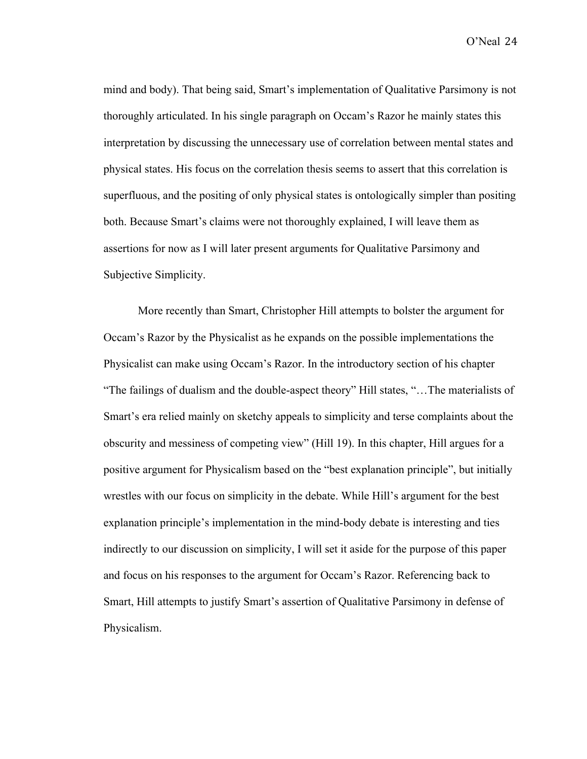mind and body). That being said, Smart's implementation of Qualitative Parsimony is not thoroughly articulated. In his single paragraph on Occam's Razor he mainly states this interpretation by discussing the unnecessary use of correlation between mental states and physical states. His focus on the correlation thesis seems to assert that this correlation is superfluous, and the positing of only physical states is ontologically simpler than positing both. Because Smart's claims were not thoroughly explained, I will leave them as assertions for now as I will later present arguments for Qualitative Parsimony and Subjective Simplicity.

More recently than Smart, Christopher Hill attempts to bolster the argument for Occam's Razor by the Physicalist as he expands on the possible implementations the Physicalist can make using Occam's Razor. In the introductory section of his chapter "The failings of dualism and the double-aspect theory" Hill states, "…The materialists of Smart's era relied mainly on sketchy appeals to simplicity and terse complaints about the obscurity and messiness of competing view" (Hill 19). In this chapter, Hill argues for a positive argument for Physicalism based on the "best explanation principle", but initially wrestles with our focus on simplicity in the debate. While Hill's argument for the best explanation principle's implementation in the mind-body debate is interesting and ties indirectly to our discussion on simplicity, I will set it aside for the purpose of this paper and focus on his responses to the argument for Occam's Razor. Referencing back to Smart, Hill attempts to justify Smart's assertion of Qualitative Parsimony in defense of Physicalism.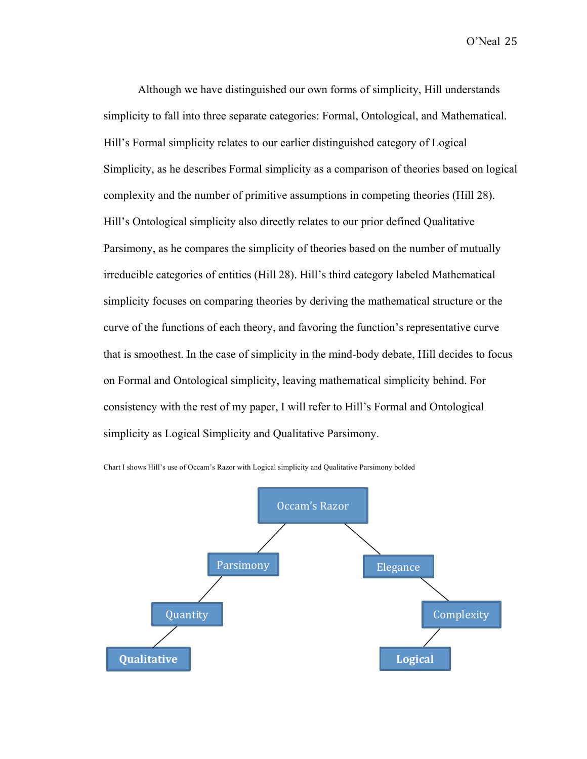Although we have distinguished our own forms of simplicity, Hill understands simplicity to fall into three separate categories: Formal, Ontological, and Mathematical. Hill's Formal simplicity relates to our earlier distinguished category of Logical Simplicity, as he describes Formal simplicity as a comparison of theories based on logical complexity and the number of primitive assumptions in competing theories (Hill 28). Hill's Ontological simplicity also directly relates to our prior defined Qualitative Parsimony, as he compares the simplicity of theories based on the number of mutually irreducible categories of entities (Hill 28). Hill's third category labeled Mathematical simplicity focuses on comparing theories by deriving the mathematical structure or the curve of the functions of each theory, and favoring the function's representative curve that is smoothest. In the case of simplicity in the mind-body debate, Hill decides to focus on Formal and Ontological simplicity, leaving mathematical simplicity behind. For consistency with the rest of my paper, I will refer to Hill's Formal and Ontological simplicity as Logical Simplicity and Qualitative Parsimony.



Chart I shows Hill's use of Occam's Razor with Logical simplicity and Qualitative Parsimony bolded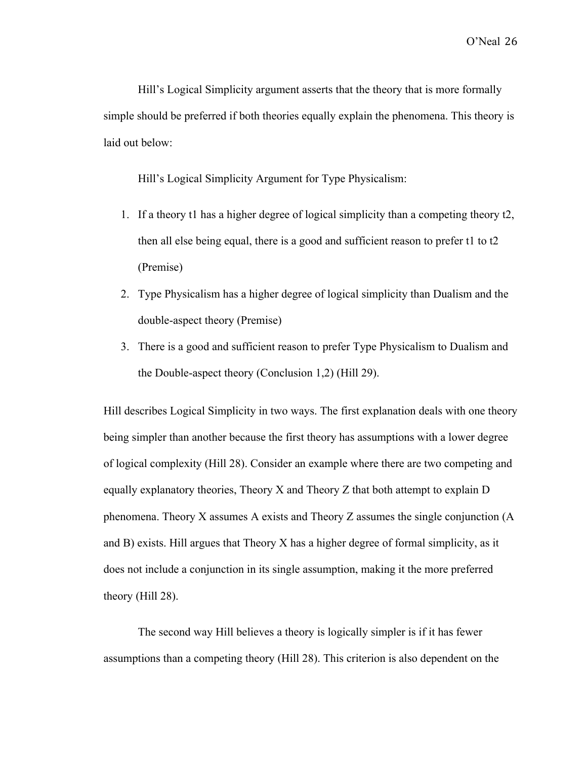Hill's Logical Simplicity argument asserts that the theory that is more formally simple should be preferred if both theories equally explain the phenomena. This theory is laid out below:

Hill's Logical Simplicity Argument for Type Physicalism:

- 1. If a theory t1 has a higher degree of logical simplicity than a competing theory t2, then all else being equal, there is a good and sufficient reason to prefer t1 to t2 (Premise)
- 2. Type Physicalism has a higher degree of logical simplicity than Dualism and the double-aspect theory (Premise)
- 3. There is a good and sufficient reason to prefer Type Physicalism to Dualism and the Double-aspect theory (Conclusion 1,2) (Hill 29).

Hill describes Logical Simplicity in two ways. The first explanation deals with one theory being simpler than another because the first theory has assumptions with a lower degree of logical complexity (Hill 28). Consider an example where there are two competing and equally explanatory theories, Theory X and Theory Z that both attempt to explain D phenomena. Theory X assumes A exists and Theory Z assumes the single conjunction (A and B) exists. Hill argues that Theory X has a higher degree of formal simplicity, as it does not include a conjunction in its single assumption, making it the more preferred theory (Hill 28).

The second way Hill believes a theory is logically simpler is if it has fewer assumptions than a competing theory (Hill 28). This criterion is also dependent on the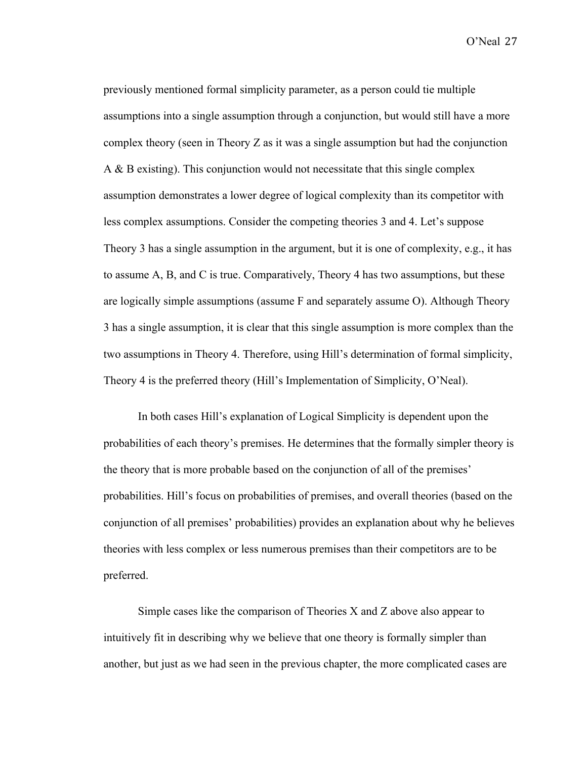previously mentioned formal simplicity parameter, as a person could tie multiple assumptions into a single assumption through a conjunction, but would still have a more complex theory (seen in Theory Z as it was a single assumption but had the conjunction A & B existing). This conjunction would not necessitate that this single complex assumption demonstrates a lower degree of logical complexity than its competitor with less complex assumptions. Consider the competing theories 3 and 4. Let's suppose Theory 3 has a single assumption in the argument, but it is one of complexity, e.g., it has to assume A, B, and C is true. Comparatively, Theory 4 has two assumptions, but these are logically simple assumptions (assume F and separately assume O). Although Theory 3 has a single assumption, it is clear that this single assumption is more complex than the two assumptions in Theory 4. Therefore, using Hill's determination of formal simplicity, Theory 4 is the preferred theory (Hill's Implementation of Simplicity, O'Neal).

In both cases Hill's explanation of Logical Simplicity is dependent upon the probabilities of each theory's premises. He determines that the formally simpler theory is the theory that is more probable based on the conjunction of all of the premises' probabilities. Hill's focus on probabilities of premises, and overall theories (based on the conjunction of all premises' probabilities) provides an explanation about why he believes theories with less complex or less numerous premises than their competitors are to be preferred.

Simple cases like the comparison of Theories  $X$  and  $Z$  above also appear to intuitively fit in describing why we believe that one theory is formally simpler than another, but just as we had seen in the previous chapter, the more complicated cases are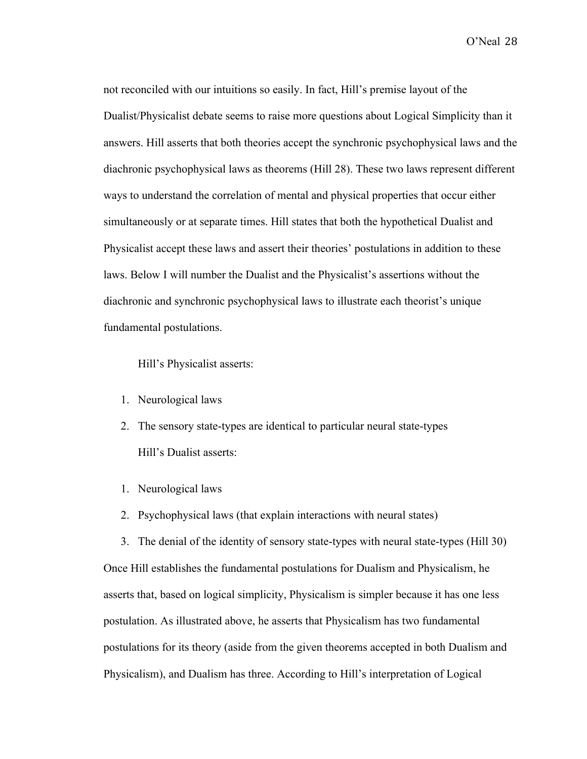not reconciled with our intuitions so easily. In fact, Hill's premise layout of the Dualist/Physicalist debate seems to raise more questions about Logical Simplicity than it answers. Hill asserts that both theories accept the synchronic psychophysical laws and the diachronic psychophysical laws as theorems (Hill 28). These two laws represent different ways to understand the correlation of mental and physical properties that occur either simultaneously or at separate times. Hill states that both the hypothetical Dualist and Physicalist accept these laws and assert their theories' postulations in addition to these laws. Below I will number the Dualist and the Physicalist's assertions without the diachronic and synchronic psychophysical laws to illustrate each theorist's unique fundamental postulations.

Hill's Physicalist asserts:

- 1. Neurological laws
- 2. The sensory state-types are identical to particular neural state-types Hill's Dualist asserts:
- 1. Neurological laws
- 2. Psychophysical laws (that explain interactions with neural states)

3. The denial of the identity of sensory state-types with neural state-types (Hill 30) Once Hill establishes the fundamental postulations for Dualism and Physicalism, he asserts that, based on logical simplicity, Physicalism is simpler because it has one less postulation. As illustrated above, he asserts that Physicalism has two fundamental postulations for its theory (aside from the given theorems accepted in both Dualism and Physicalism), and Dualism has three. According to Hill's interpretation of Logical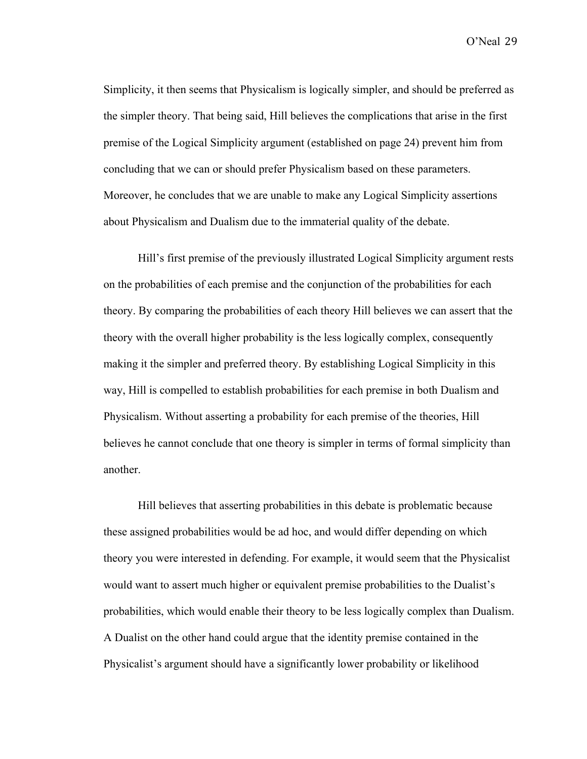Simplicity, it then seems that Physicalism is logically simpler, and should be preferred as the simpler theory. That being said, Hill believes the complications that arise in the first premise of the Logical Simplicity argument (established on page 24) prevent him from concluding that we can or should prefer Physicalism based on these parameters. Moreover, he concludes that we are unable to make any Logical Simplicity assertions about Physicalism and Dualism due to the immaterial quality of the debate.

Hill's first premise of the previously illustrated Logical Simplicity argument rests on the probabilities of each premise and the conjunction of the probabilities for each theory. By comparing the probabilities of each theory Hill believes we can assert that the theory with the overall higher probability is the less logically complex, consequently making it the simpler and preferred theory. By establishing Logical Simplicity in this way, Hill is compelled to establish probabilities for each premise in both Dualism and Physicalism. Without asserting a probability for each premise of the theories, Hill believes he cannot conclude that one theory is simpler in terms of formal simplicity than another.

Hill believes that asserting probabilities in this debate is problematic because these assigned probabilities would be ad hoc, and would differ depending on which theory you were interested in defending. For example, it would seem that the Physicalist would want to assert much higher or equivalent premise probabilities to the Dualist's probabilities, which would enable their theory to be less logically complex than Dualism. A Dualist on the other hand could argue that the identity premise contained in the Physicalist's argument should have a significantly lower probability or likelihood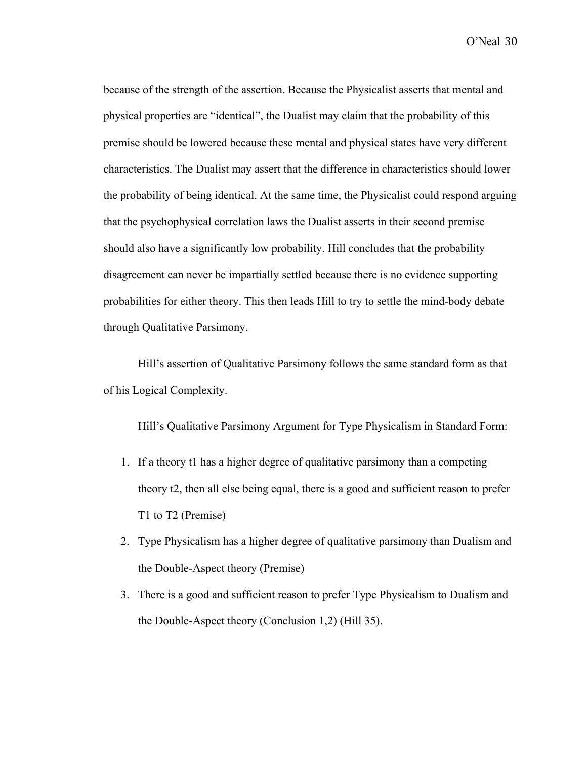because of the strength of the assertion. Because the Physicalist asserts that mental and physical properties are "identical", the Dualist may claim that the probability of this premise should be lowered because these mental and physical states have very different characteristics. The Dualist may assert that the difference in characteristics should lower the probability of being identical. At the same time, the Physicalist could respond arguing that the psychophysical correlation laws the Dualist asserts in their second premise should also have a significantly low probability. Hill concludes that the probability disagreement can never be impartially settled because there is no evidence supporting probabilities for either theory. This then leads Hill to try to settle the mind-body debate through Qualitative Parsimony.

Hill's assertion of Qualitative Parsimony follows the same standard form as that of his Logical Complexity.

Hill's Qualitative Parsimony Argument for Type Physicalism in Standard Form:

- 1. If a theory t1 has a higher degree of qualitative parsimony than a competing theory t2, then all else being equal, there is a good and sufficient reason to prefer T1 to T2 (Premise)
- 2. Type Physicalism has a higher degree of qualitative parsimony than Dualism and the Double-Aspect theory (Premise)
- 3. There is a good and sufficient reason to prefer Type Physicalism to Dualism and the Double-Aspect theory (Conclusion 1,2) (Hill 35).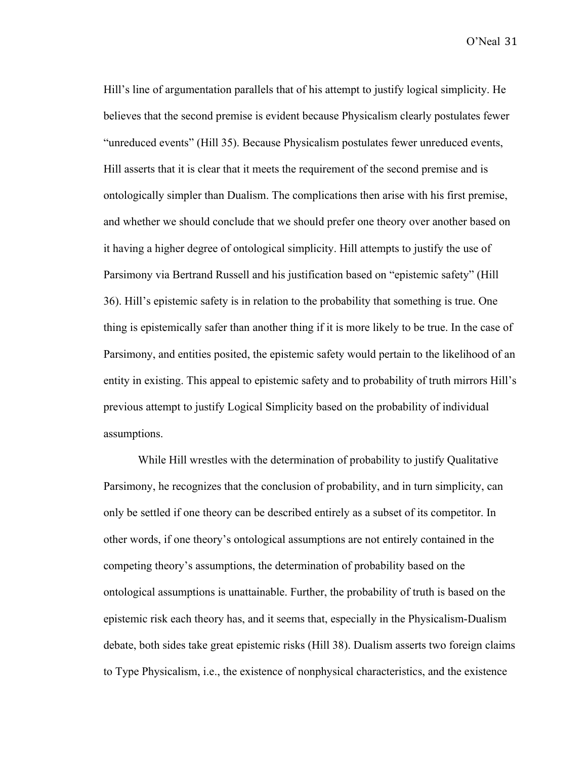Hill's line of argumentation parallels that of his attempt to justify logical simplicity. He believes that the second premise is evident because Physicalism clearly postulates fewer "unreduced events" (Hill 35). Because Physicalism postulates fewer unreduced events, Hill asserts that it is clear that it meets the requirement of the second premise and is ontologically simpler than Dualism. The complications then arise with his first premise, and whether we should conclude that we should prefer one theory over another based on it having a higher degree of ontological simplicity. Hill attempts to justify the use of Parsimony via Bertrand Russell and his justification based on "epistemic safety" (Hill 36). Hill's epistemic safety is in relation to the probability that something is true. One thing is epistemically safer than another thing if it is more likely to be true. In the case of Parsimony, and entities posited, the epistemic safety would pertain to the likelihood of an entity in existing. This appeal to epistemic safety and to probability of truth mirrors Hill's previous attempt to justify Logical Simplicity based on the probability of individual assumptions.

While Hill wrestles with the determination of probability to justify Qualitative Parsimony, he recognizes that the conclusion of probability, and in turn simplicity, can only be settled if one theory can be described entirely as a subset of its competitor. In other words, if one theory's ontological assumptions are not entirely contained in the competing theory's assumptions, the determination of probability based on the ontological assumptions is unattainable. Further, the probability of truth is based on the epistemic risk each theory has, and it seems that, especially in the Physicalism-Dualism debate, both sides take great epistemic risks (Hill 38). Dualism asserts two foreign claims to Type Physicalism, i.e., the existence of nonphysical characteristics, and the existence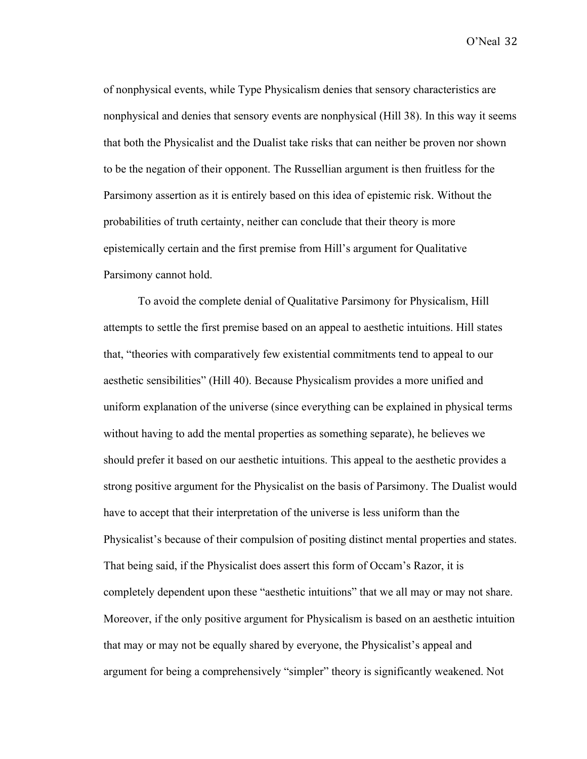of nonphysical events, while Type Physicalism denies that sensory characteristics are nonphysical and denies that sensory events are nonphysical (Hill 38). In this way it seems that both the Physicalist and the Dualist take risks that can neither be proven nor shown to be the negation of their opponent. The Russellian argument is then fruitless for the Parsimony assertion as it is entirely based on this idea of epistemic risk. Without the probabilities of truth certainty, neither can conclude that their theory is more epistemically certain and the first premise from Hill's argument for Qualitative Parsimony cannot hold.

To avoid the complete denial of Qualitative Parsimony for Physicalism, Hill attempts to settle the first premise based on an appeal to aesthetic intuitions. Hill states that, "theories with comparatively few existential commitments tend to appeal to our aesthetic sensibilities" (Hill 40). Because Physicalism provides a more unified and uniform explanation of the universe (since everything can be explained in physical terms without having to add the mental properties as something separate), he believes we should prefer it based on our aesthetic intuitions. This appeal to the aesthetic provides a strong positive argument for the Physicalist on the basis of Parsimony. The Dualist would have to accept that their interpretation of the universe is less uniform than the Physicalist's because of their compulsion of positing distinct mental properties and states. That being said, if the Physicalist does assert this form of Occam's Razor, it is completely dependent upon these "aesthetic intuitions" that we all may or may not share. Moreover, if the only positive argument for Physicalism is based on an aesthetic intuition that may or may not be equally shared by everyone, the Physicalist's appeal and argument for being a comprehensively "simpler" theory is significantly weakened. Not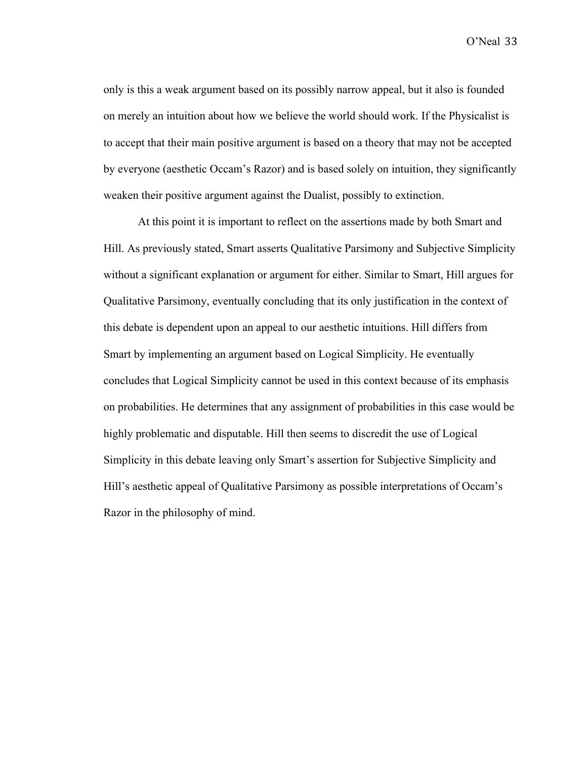only is this a weak argument based on its possibly narrow appeal, but it also is founded on merely an intuition about how we believe the world should work. If the Physicalist is to accept that their main positive argument is based on a theory that may not be accepted by everyone (aesthetic Occam's Razor) and is based solely on intuition, they significantly weaken their positive argument against the Dualist, possibly to extinction.

At this point it is important to reflect on the assertions made by both Smart and Hill. As previously stated, Smart asserts Qualitative Parsimony and Subjective Simplicity without a significant explanation or argument for either. Similar to Smart, Hill argues for Qualitative Parsimony, eventually concluding that its only justification in the context of this debate is dependent upon an appeal to our aesthetic intuitions. Hill differs from Smart by implementing an argument based on Logical Simplicity. He eventually concludes that Logical Simplicity cannot be used in this context because of its emphasis on probabilities. He determines that any assignment of probabilities in this case would be highly problematic and disputable. Hill then seems to discredit the use of Logical Simplicity in this debate leaving only Smart's assertion for Subjective Simplicity and Hill's aesthetic appeal of Qualitative Parsimony as possible interpretations of Occam's Razor in the philosophy of mind.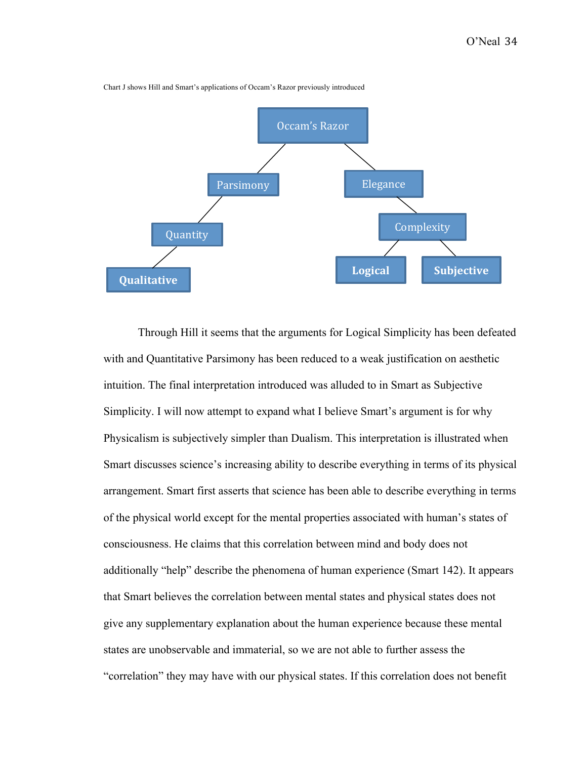

Chart J shows Hill and Smart's applications of Occam's Razor previously introduced

Through Hill it seems that the arguments for Logical Simplicity has been defeated with and Quantitative Parsimony has been reduced to a weak justification on aesthetic intuition. The final interpretation introduced was alluded to in Smart as Subjective Simplicity. I will now attempt to expand what I believe Smart's argument is for why Physicalism is subjectively simpler than Dualism. This interpretation is illustrated when Smart discusses science's increasing ability to describe everything in terms of its physical arrangement. Smart first asserts that science has been able to describe everything in terms of the physical world except for the mental properties associated with human's states of consciousness. He claims that this correlation between mind and body does not additionally "help" describe the phenomena of human experience (Smart 142). It appears that Smart believes the correlation between mental states and physical states does not give any supplementary explanation about the human experience because these mental states are unobservable and immaterial, so we are not able to further assess the "correlation" they may have with our physical states. If this correlation does not benefit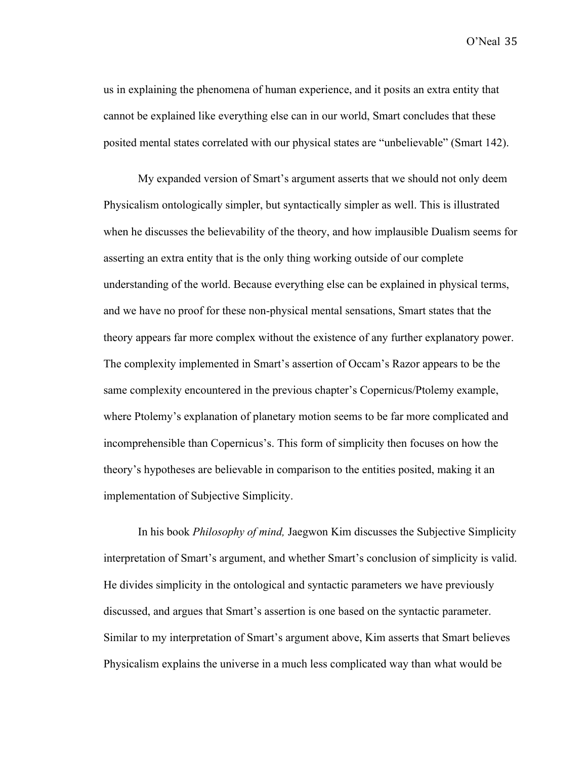us in explaining the phenomena of human experience, and it posits an extra entity that cannot be explained like everything else can in our world, Smart concludes that these posited mental states correlated with our physical states are "unbelievable" (Smart 142).

My expanded version of Smart's argument asserts that we should not only deem Physicalism ontologically simpler, but syntactically simpler as well. This is illustrated when he discusses the believability of the theory, and how implausible Dualism seems for asserting an extra entity that is the only thing working outside of our complete understanding of the world. Because everything else can be explained in physical terms, and we have no proof for these non-physical mental sensations, Smart states that the theory appears far more complex without the existence of any further explanatory power. The complexity implemented in Smart's assertion of Occam's Razor appears to be the same complexity encountered in the previous chapter's Copernicus/Ptolemy example, where Ptolemy's explanation of planetary motion seems to be far more complicated and incomprehensible than Copernicus's. This form of simplicity then focuses on how the theory's hypotheses are believable in comparison to the entities posited, making it an implementation of Subjective Simplicity.

In his book *Philosophy of mind,* Jaegwon Kim discusses the Subjective Simplicity interpretation of Smart's argument, and whether Smart's conclusion of simplicity is valid. He divides simplicity in the ontological and syntactic parameters we have previously discussed, and argues that Smart's assertion is one based on the syntactic parameter. Similar to my interpretation of Smart's argument above, Kim asserts that Smart believes Physicalism explains the universe in a much less complicated way than what would be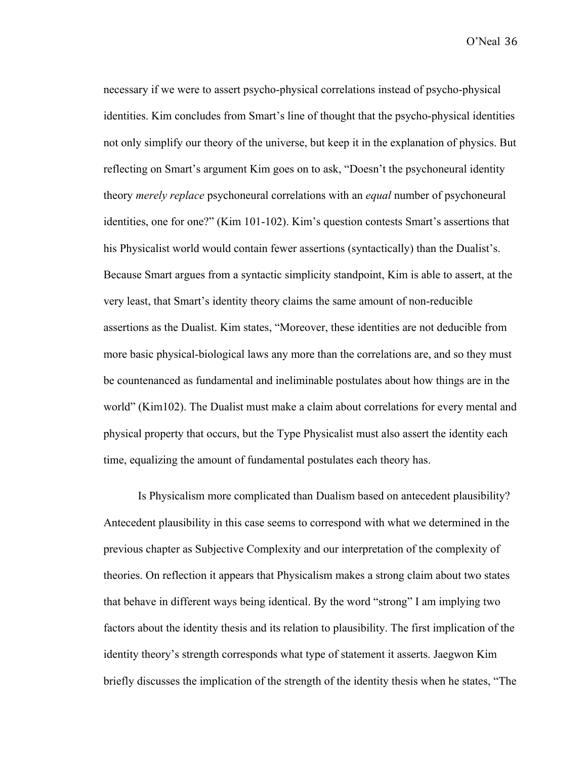necessary if we were to assert psycho-physical correlations instead of psycho-physical identities. Kim concludes from Smart's line of thought that the psycho-physical identities not only simplify our theory of the universe, but keep it in the explanation of physics. But reflecting on Smart's argument Kim goes on to ask, "Doesn't the psychoneural identity theory *merely replace* psychoneural correlations with an *equal* number of psychoneural identities, one for one?" (Kim 101-102). Kim's question contests Smart's assertions that his Physicalist world would contain fewer assertions (syntactically) than the Dualist's. Because Smart argues from a syntactic simplicity standpoint, Kim is able to assert, at the very least, that Smart's identity theory claims the same amount of non-reducible assertions as the Dualist. Kim states, "Moreover, these identities are not deducible from more basic physical-biological laws any more than the correlations are, and so they must be countenanced as fundamental and ineliminable postulates about how things are in the world" (Kim102). The Dualist must make a claim about correlations for every mental and physical property that occurs, but the Type Physicalist must also assert the identity each time, equalizing the amount of fundamental postulates each theory has.

Is Physicalism more complicated than Dualism based on antecedent plausibility? Antecedent plausibility in this case seems to correspond with what we determined in the previous chapter as Subjective Complexity and our interpretation of the complexity of theories. On reflection it appears that Physicalism makes a strong claim about two states that behave in different ways being identical. By the word "strong" I am implying two factors about the identity thesis and its relation to plausibility. The first implication of the identity theory's strength corresponds what type of statement it asserts. Jaegwon Kim briefly discusses the implication of the strength of the identity thesis when he states, "The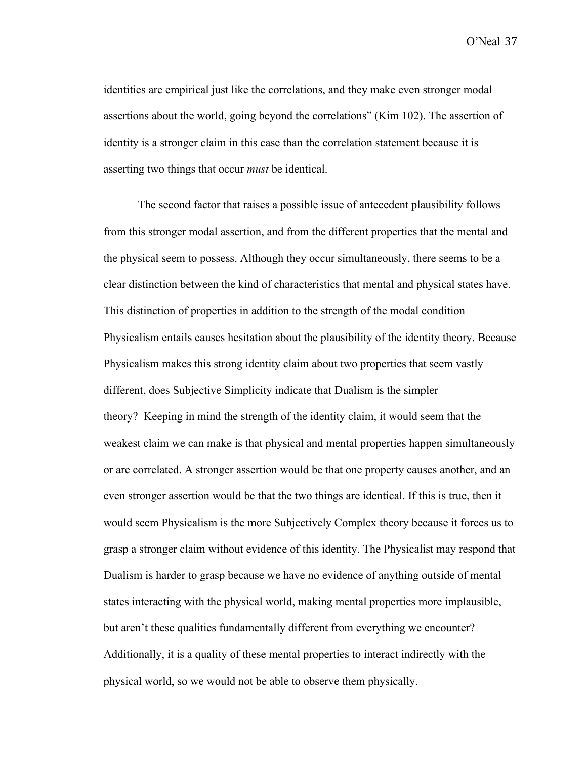identities are empirical just like the correlations, and they make even stronger modal assertions about the world, going beyond the correlations" (Kim 102). The assertion of identity is a stronger claim in this case than the correlation statement because it is asserting two things that occur *must* be identical.

The second factor that raises a possible issue of antecedent plausibility follows from this stronger modal assertion, and from the different properties that the mental and the physical seem to possess. Although they occur simultaneously, there seems to be a clear distinction between the kind of characteristics that mental and physical states have. This distinction of properties in addition to the strength of the modal condition Physicalism entails causes hesitation about the plausibility of the identity theory. Because Physicalism makes this strong identity claim about two properties that seem vastly different, does Subjective Simplicity indicate that Dualism is the simpler theory? Keeping in mind the strength of the identity claim, it would seem that the weakest claim we can make is that physical and mental properties happen simultaneously or are correlated. A stronger assertion would be that one property causes another, and an even stronger assertion would be that the two things are identical. If this is true, then it would seem Physicalism is the more Subjectively Complex theory because it forces us to grasp a stronger claim without evidence of this identity. The Physicalist may respond that Dualism is harder to grasp because we have no evidence of anything outside of mental states interacting with the physical world, making mental properties more implausible, but aren't these qualities fundamentally different from everything we encounter? Additionally, it is a quality of these mental properties to interact indirectly with the physical world, so we would not be able to observe them physically.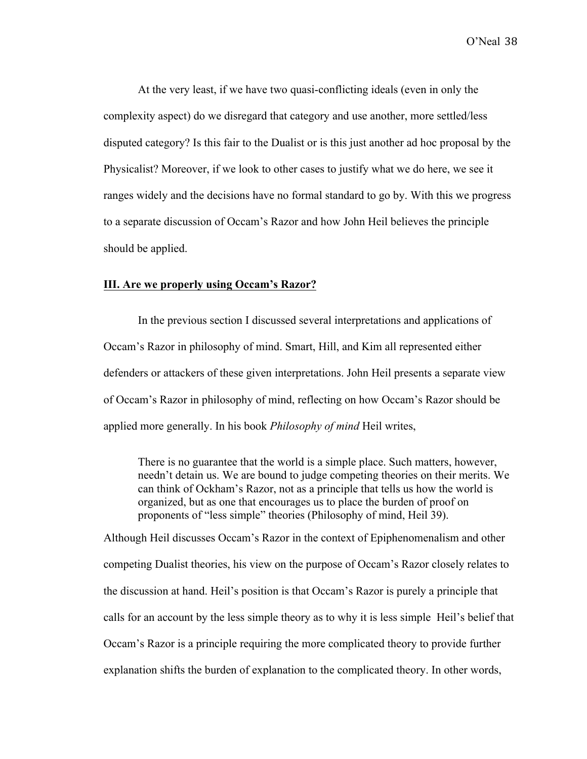At the very least, if we have two quasi-conflicting ideals (even in only the complexity aspect) do we disregard that category and use another, more settled/less disputed category? Is this fair to the Dualist or is this just another ad hoc proposal by the Physicalist? Moreover, if we look to other cases to justify what we do here, we see it ranges widely and the decisions have no formal standard to go by. With this we progress to a separate discussion of Occam's Razor and how John Heil believes the principle should be applied.

## **III. Are we properly using Occam's Razor?**

In the previous section I discussed several interpretations and applications of Occam's Razor in philosophy of mind. Smart, Hill, and Kim all represented either defenders or attackers of these given interpretations. John Heil presents a separate view of Occam's Razor in philosophy of mind, reflecting on how Occam's Razor should be applied more generally. In his book *Philosophy of mind* Heil writes,

There is no guarantee that the world is a simple place. Such matters, however, needn't detain us. We are bound to judge competing theories on their merits. We can think of Ockham's Razor, not as a principle that tells us how the world is organized, but as one that encourages us to place the burden of proof on proponents of "less simple" theories (Philosophy of mind, Heil 39).

Although Heil discusses Occam's Razor in the context of Epiphenomenalism and other competing Dualist theories, his view on the purpose of Occam's Razor closely relates to the discussion at hand. Heil's position is that Occam's Razor is purely a principle that calls for an account by the less simple theory as to why it is less simple Heil's belief that Occam's Razor is a principle requiring the more complicated theory to provide further explanation shifts the burden of explanation to the complicated theory. In other words,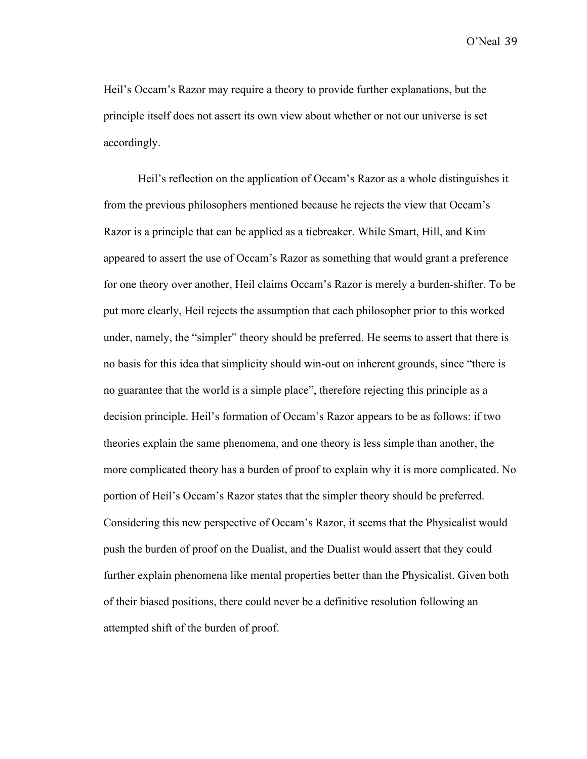Heil's Occam's Razor may require a theory to provide further explanations, but the principle itself does not assert its own view about whether or not our universe is set accordingly.

Heil's reflection on the application of Occam's Razor as a whole distinguishes it from the previous philosophers mentioned because he rejects the view that Occam's Razor is a principle that can be applied as a tiebreaker. While Smart, Hill, and Kim appeared to assert the use of Occam's Razor as something that would grant a preference for one theory over another, Heil claims Occam's Razor is merely a burden-shifter. To be put more clearly, Heil rejects the assumption that each philosopher prior to this worked under, namely, the "simpler" theory should be preferred. He seems to assert that there is no basis for this idea that simplicity should win-out on inherent grounds, since "there is no guarantee that the world is a simple place", therefore rejecting this principle as a decision principle. Heil's formation of Occam's Razor appears to be as follows: if two theories explain the same phenomena, and one theory is less simple than another, the more complicated theory has a burden of proof to explain why it is more complicated. No portion of Heil's Occam's Razor states that the simpler theory should be preferred. Considering this new perspective of Occam's Razor, it seems that the Physicalist would push the burden of proof on the Dualist, and the Dualist would assert that they could further explain phenomena like mental properties better than the Physicalist. Given both of their biased positions, there could never be a definitive resolution following an attempted shift of the burden of proof.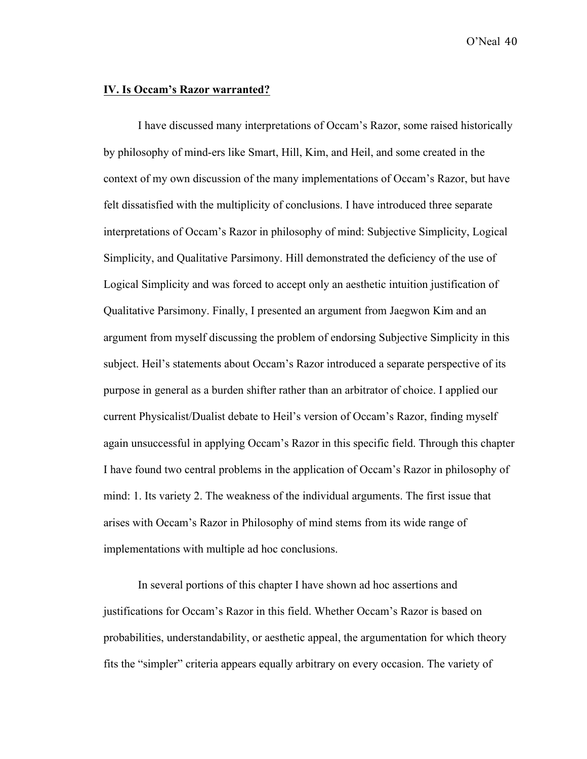## **IV. Is Occam's Razor warranted?**

I have discussed many interpretations of Occam's Razor, some raised historically by philosophy of mind-ers like Smart, Hill, Kim, and Heil, and some created in the context of my own discussion of the many implementations of Occam's Razor, but have felt dissatisfied with the multiplicity of conclusions. I have introduced three separate interpretations of Occam's Razor in philosophy of mind: Subjective Simplicity, Logical Simplicity, and Qualitative Parsimony. Hill demonstrated the deficiency of the use of Logical Simplicity and was forced to accept only an aesthetic intuition justification of Qualitative Parsimony. Finally, I presented an argument from Jaegwon Kim and an argument from myself discussing the problem of endorsing Subjective Simplicity in this subject. Heil's statements about Occam's Razor introduced a separate perspective of its purpose in general as a burden shifter rather than an arbitrator of choice. I applied our current Physicalist/Dualist debate to Heil's version of Occam's Razor, finding myself again unsuccessful in applying Occam's Razor in this specific field. Through this chapter I have found two central problems in the application of Occam's Razor in philosophy of mind: 1. Its variety 2. The weakness of the individual arguments. The first issue that arises with Occam's Razor in Philosophy of mind stems from its wide range of implementations with multiple ad hoc conclusions.

In several portions of this chapter I have shown ad hoc assertions and justifications for Occam's Razor in this field. Whether Occam's Razor is based on probabilities, understandability, or aesthetic appeal, the argumentation for which theory fits the "simpler" criteria appears equally arbitrary on every occasion. The variety of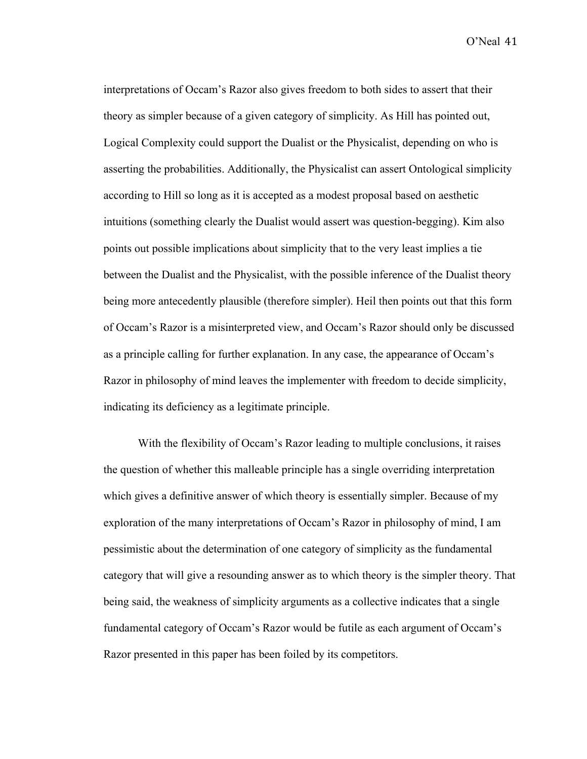interpretations of Occam's Razor also gives freedom to both sides to assert that their theory as simpler because of a given category of simplicity. As Hill has pointed out, Logical Complexity could support the Dualist or the Physicalist, depending on who is asserting the probabilities. Additionally, the Physicalist can assert Ontological simplicity according to Hill so long as it is accepted as a modest proposal based on aesthetic intuitions (something clearly the Dualist would assert was question-begging). Kim also points out possible implications about simplicity that to the very least implies a tie between the Dualist and the Physicalist, with the possible inference of the Dualist theory being more antecedently plausible (therefore simpler). Heil then points out that this form of Occam's Razor is a misinterpreted view, and Occam's Razor should only be discussed as a principle calling for further explanation. In any case, the appearance of Occam's Razor in philosophy of mind leaves the implementer with freedom to decide simplicity, indicating its deficiency as a legitimate principle.

With the flexibility of Occam's Razor leading to multiple conclusions, it raises the question of whether this malleable principle has a single overriding interpretation which gives a definitive answer of which theory is essentially simpler. Because of my exploration of the many interpretations of Occam's Razor in philosophy of mind, I am pessimistic about the determination of one category of simplicity as the fundamental category that will give a resounding answer as to which theory is the simpler theory. That being said, the weakness of simplicity arguments as a collective indicates that a single fundamental category of Occam's Razor would be futile as each argument of Occam's Razor presented in this paper has been foiled by its competitors.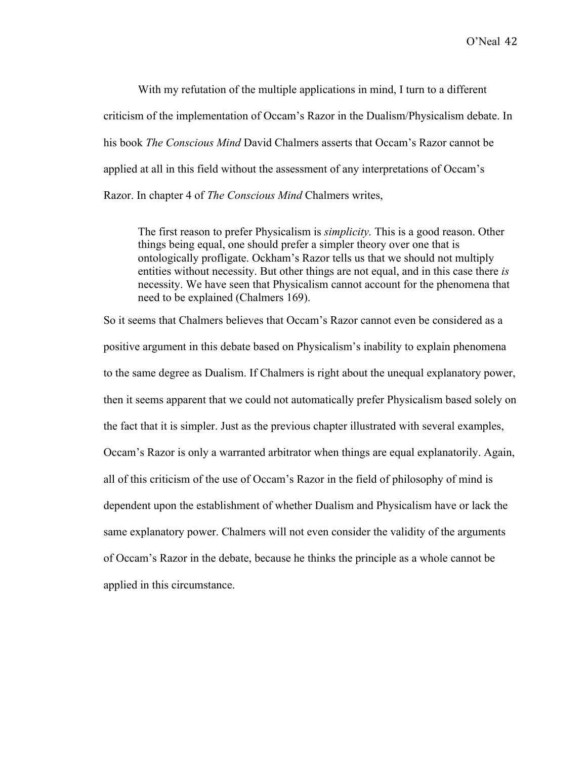With my refutation of the multiple applications in mind, I turn to a different criticism of the implementation of Occam's Razor in the Dualism/Physicalism debate. In his book *The Conscious Mind* David Chalmers asserts that Occam's Razor cannot be applied at all in this field without the assessment of any interpretations of Occam's Razor. In chapter 4 of *The Conscious Mind* Chalmers writes,

The first reason to prefer Physicalism is *simplicity.* This is a good reason. Other things being equal, one should prefer a simpler theory over one that is ontologically profligate. Ockham's Razor tells us that we should not multiply entities without necessity. But other things are not equal, and in this case there *is*  necessity. We have seen that Physicalism cannot account for the phenomena that need to be explained (Chalmers 169).

So it seems that Chalmers believes that Occam's Razor cannot even be considered as a positive argument in this debate based on Physicalism's inability to explain phenomena to the same degree as Dualism. If Chalmers is right about the unequal explanatory power, then it seems apparent that we could not automatically prefer Physicalism based solely on the fact that it is simpler. Just as the previous chapter illustrated with several examples, Occam's Razor is only a warranted arbitrator when things are equal explanatorily. Again, all of this criticism of the use of Occam's Razor in the field of philosophy of mind is dependent upon the establishment of whether Dualism and Physicalism have or lack the same explanatory power. Chalmers will not even consider the validity of the arguments of Occam's Razor in the debate, because he thinks the principle as a whole cannot be applied in this circumstance.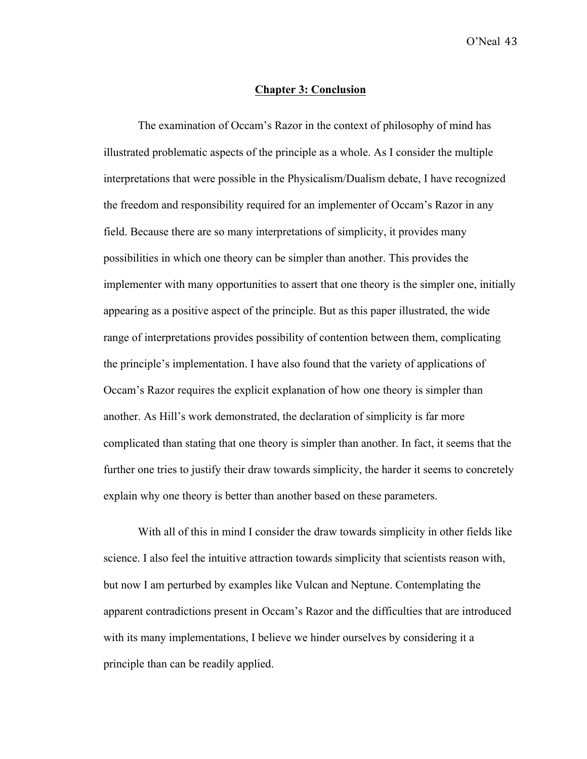## **Chapter 3: Conclusion**

The examination of Occam's Razor in the context of philosophy of mind has illustrated problematic aspects of the principle as a whole. As I consider the multiple interpretations that were possible in the Physicalism/Dualism debate, I have recognized the freedom and responsibility required for an implementer of Occam's Razor in any field. Because there are so many interpretations of simplicity, it provides many possibilities in which one theory can be simpler than another. This provides the implementer with many opportunities to assert that one theory is the simpler one, initially appearing as a positive aspect of the principle. But as this paper illustrated, the wide range of interpretations provides possibility of contention between them, complicating the principle's implementation. I have also found that the variety of applications of Occam's Razor requires the explicit explanation of how one theory is simpler than another. As Hill's work demonstrated, the declaration of simplicity is far more complicated than stating that one theory is simpler than another. In fact, it seems that the further one tries to justify their draw towards simplicity, the harder it seems to concretely explain why one theory is better than another based on these parameters.

With all of this in mind I consider the draw towards simplicity in other fields like science. I also feel the intuitive attraction towards simplicity that scientists reason with, but now I am perturbed by examples like Vulcan and Neptune. Contemplating the apparent contradictions present in Occam's Razor and the difficulties that are introduced with its many implementations, I believe we hinder ourselves by considering it a principle than can be readily applied.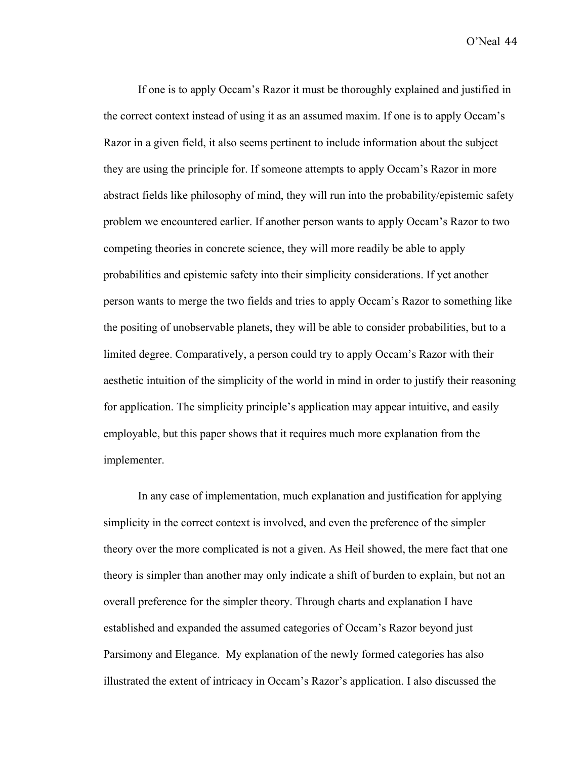If one is to apply Occam's Razor it must be thoroughly explained and justified in the correct context instead of using it as an assumed maxim. If one is to apply Occam's Razor in a given field, it also seems pertinent to include information about the subject they are using the principle for. If someone attempts to apply Occam's Razor in more abstract fields like philosophy of mind, they will run into the probability/epistemic safety problem we encountered earlier. If another person wants to apply Occam's Razor to two competing theories in concrete science, they will more readily be able to apply probabilities and epistemic safety into their simplicity considerations. If yet another person wants to merge the two fields and tries to apply Occam's Razor to something like the positing of unobservable planets, they will be able to consider probabilities, but to a limited degree. Comparatively, a person could try to apply Occam's Razor with their aesthetic intuition of the simplicity of the world in mind in order to justify their reasoning for application. The simplicity principle's application may appear intuitive, and easily employable, but this paper shows that it requires much more explanation from the implementer.

In any case of implementation, much explanation and justification for applying simplicity in the correct context is involved, and even the preference of the simpler theory over the more complicated is not a given. As Heil showed, the mere fact that one theory is simpler than another may only indicate a shift of burden to explain, but not an overall preference for the simpler theory. Through charts and explanation I have established and expanded the assumed categories of Occam's Razor beyond just Parsimony and Elegance. My explanation of the newly formed categories has also illustrated the extent of intricacy in Occam's Razor's application. I also discussed the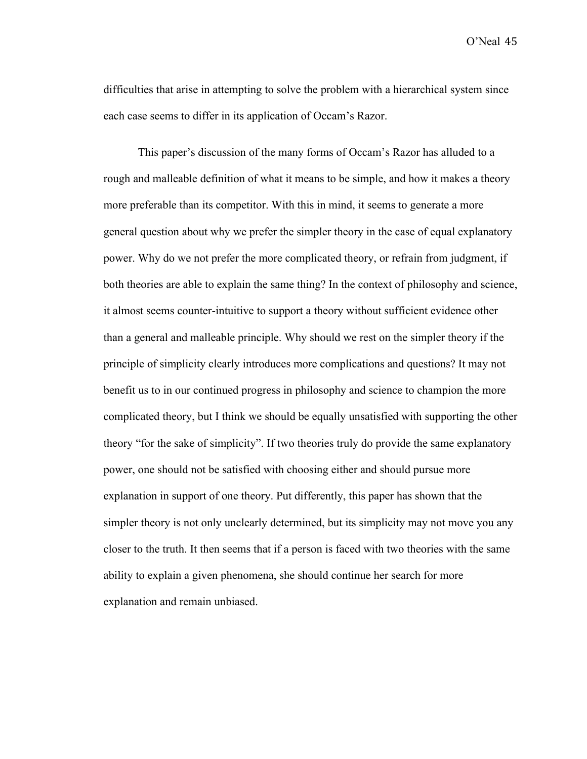difficulties that arise in attempting to solve the problem with a hierarchical system since each case seems to differ in its application of Occam's Razor.

This paper's discussion of the many forms of Occam's Razor has alluded to a rough and malleable definition of what it means to be simple, and how it makes a theory more preferable than its competitor. With this in mind, it seems to generate a more general question about why we prefer the simpler theory in the case of equal explanatory power. Why do we not prefer the more complicated theory, or refrain from judgment, if both theories are able to explain the same thing? In the context of philosophy and science, it almost seems counter-intuitive to support a theory without sufficient evidence other than a general and malleable principle. Why should we rest on the simpler theory if the principle of simplicity clearly introduces more complications and questions? It may not benefit us to in our continued progress in philosophy and science to champion the more complicated theory, but I think we should be equally unsatisfied with supporting the other theory "for the sake of simplicity". If two theories truly do provide the same explanatory power, one should not be satisfied with choosing either and should pursue more explanation in support of one theory. Put differently, this paper has shown that the simpler theory is not only unclearly determined, but its simplicity may not move you any closer to the truth. It then seems that if a person is faced with two theories with the same ability to explain a given phenomena, she should continue her search for more explanation and remain unbiased.